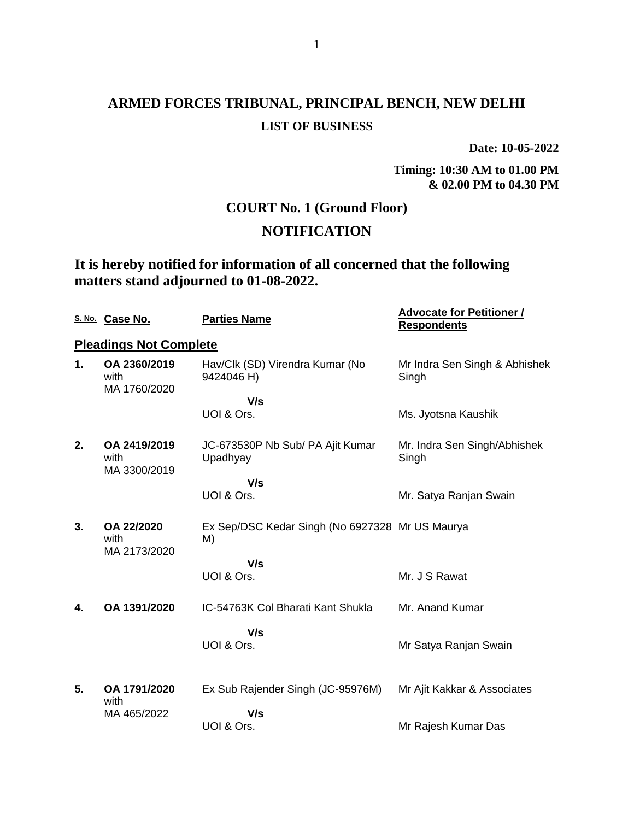**Date: 10-05-2022**

**Timing: 10:30 AM to 01.00 PM & 02.00 PM to 04.30 PM**

## **COURT No. 1 (Ground Floor)**

## **NOTIFICATION**

## **It is hereby notified for information of all concerned that the following matters stand adjourned to 01-08-2022.**

|    | S. No. Case No.                      | <b>Parties Name</b>                                   | <b>Advocate for Petitioner /</b><br><b>Respondents</b> |
|----|--------------------------------------|-------------------------------------------------------|--------------------------------------------------------|
|    | <b>Pleadings Not Complete</b>        |                                                       |                                                        |
| 1. | OA 2360/2019<br>with<br>MA 1760/2020 | Hav/Clk (SD) Virendra Kumar (No<br>9424046 H)         | Mr Indra Sen Singh & Abhishek<br>Singh                 |
|    |                                      | V/s                                                   |                                                        |
|    |                                      | UOI & Ors.                                            | Ms. Jyotsna Kaushik                                    |
| 2. | OA 2419/2019<br>with<br>MA 3300/2019 | JC-673530P Nb Sub/ PA Ajit Kumar<br>Upadhyay          | Mr. Indra Sen Singh/Abhishek<br>Singh                  |
|    |                                      | V/s                                                   |                                                        |
|    |                                      | UOI & Ors.                                            | Mr. Satya Ranjan Swain                                 |
| 3. | OA 22/2020<br>with<br>MA 2173/2020   | Ex Sep/DSC Kedar Singh (No 6927328 Mr US Maurya<br>M) |                                                        |
|    |                                      | V/s                                                   |                                                        |
|    |                                      | UOI & Ors.                                            | Mr. J S Rawat                                          |
| 4. | OA 1391/2020                         | IC-54763K Col Bharati Kant Shukla                     | Mr. Anand Kumar                                        |
|    |                                      | V/s                                                   |                                                        |
|    |                                      | UOI & Ors.                                            | Mr Satya Ranjan Swain                                  |
|    |                                      |                                                       |                                                        |
| 5. | OA 1791/2020<br>with                 | Ex Sub Rajender Singh (JC-95976M)                     | Mr Ajit Kakkar & Associates                            |
|    | MA 465/2022                          | V/s                                                   |                                                        |
|    |                                      | UOI & Ors.                                            | Mr Rajesh Kumar Das                                    |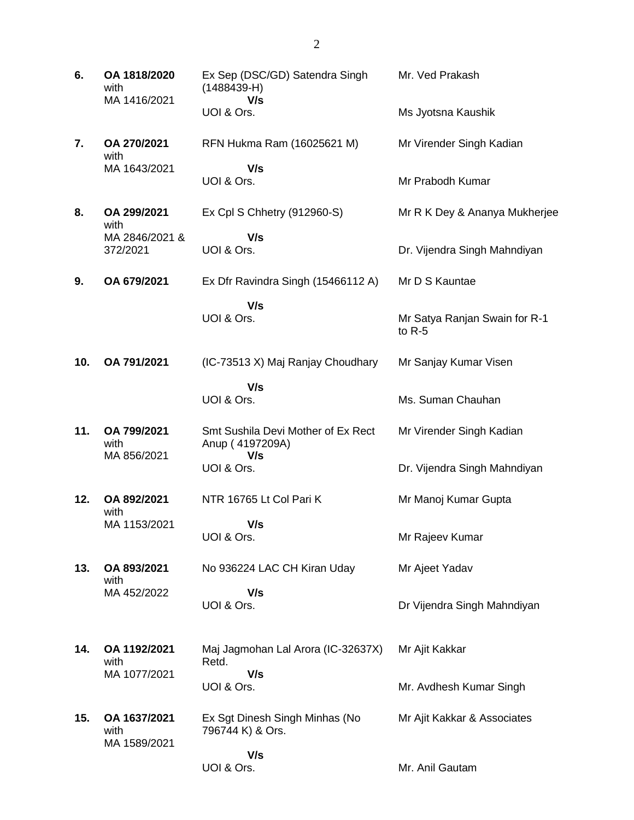| 6.  | OA 1818/2020<br>with<br>MA 1416/2021 | Ex Sep (DSC/GD) Satendra Singh<br>$(1488439 - H)$<br>V/s     | Mr. Ved Prakash                           |
|-----|--------------------------------------|--------------------------------------------------------------|-------------------------------------------|
|     |                                      | UOI & Ors.                                                   | Ms Jyotsna Kaushik                        |
| 7.  | OA 270/2021<br>with                  | RFN Hukma Ram (16025621 M)                                   | Mr Virender Singh Kadian                  |
|     | MA 1643/2021                         | V/s<br>UOI & Ors.                                            | Mr Prabodh Kumar                          |
| 8.  | OA 299/2021<br>with                  | Ex Cpl S Chhetry (912960-S)                                  | Mr R K Dey & Ananya Mukherjee             |
|     | MA 2846/2021 &<br>372/2021           | V/s<br>UOI & Ors.                                            | Dr. Vijendra Singh Mahndiyan              |
| 9.  | OA 679/2021                          | Ex Dfr Ravindra Singh (15466112 A)                           | Mr D S Kauntae                            |
|     |                                      | V/s<br>UOI & Ors.                                            | Mr Satya Ranjan Swain for R-1<br>to $R-5$ |
| 10. | OA 791/2021                          | (IC-73513 X) Maj Ranjay Choudhary                            | Mr Sanjay Kumar Visen                     |
|     |                                      | V/s<br>UOI & Ors.                                            | Ms. Suman Chauhan                         |
| 11. | OA 799/2021<br>with<br>MA 856/2021   | Smt Sushila Devi Mother of Ex Rect<br>Anup (4197209A)<br>V/s | Mr Virender Singh Kadian                  |
|     |                                      | UOI & Ors.                                                   | Dr. Vijendra Singh Mahndiyan              |
| 12. | OA 892/2021<br>with                  | NTR 16765 Lt Col Pari K                                      | Mr Manoj Kumar Gupta                      |
|     | MA 1153/2021                         | V/s<br>UOI & Ors.                                            | Mr Rajeev Kumar                           |
| 13. | OA 893/2021<br>with                  | No 936224 LAC CH Kiran Uday                                  | Mr Ajeet Yadav                            |
|     | MA 452/2022                          | V/s<br>UOI & Ors.                                            | Dr Vijendra Singh Mahndiyan               |
| 14. | OA 1192/2021<br>with                 | Maj Jagmohan Lal Arora (IC-32637X)<br>Retd.                  | Mr Ajit Kakkar                            |
|     | MA 1077/2021                         | V/s<br>UOI & Ors.                                            | Mr. Avdhesh Kumar Singh                   |
| 15. | OA 1637/2021<br>with<br>MA 1589/2021 | Ex Sgt Dinesh Singh Minhas (No<br>796744 K) & Ors.           | Mr Ajit Kakkar & Associates               |
|     |                                      | V/s<br>UOI & Ors.                                            | Mr. Anil Gautam                           |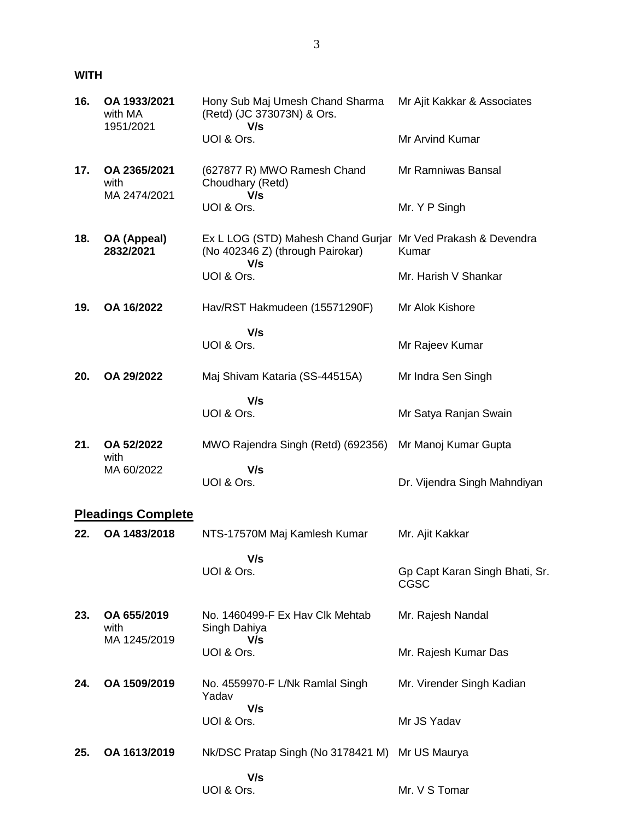### **WITH**

| 16. | OA 1933/2021<br>with MA<br>1951/2021 | Hony Sub Maj Umesh Chand Sharma<br>(Retd) (JC 373073N) & Ors.<br>V/s                                    | Mr Ajit Kakkar & Associates            |
|-----|--------------------------------------|---------------------------------------------------------------------------------------------------------|----------------------------------------|
|     |                                      | UOI & Ors.                                                                                              | Mr Arvind Kumar                        |
| 17. | OA 2365/2021<br>with<br>MA 2474/2021 | (627877 R) MWO Ramesh Chand<br>Choudhary (Retd)<br>V/s                                                  | Mr Ramniwas Bansal                     |
|     |                                      | UOI & Ors.                                                                                              | Mr. Y P Singh                          |
| 18. | OA (Appeal)<br>2832/2021             | Ex L LOG (STD) Mahesh Chand Gurjar Mr Ved Prakash & Devendra<br>(No 402346 Z) (through Pairokar)<br>V/s | Kumar                                  |
|     |                                      | UOI & Ors.                                                                                              | Mr. Harish V Shankar                   |
| 19. | OA 16/2022                           | Hav/RST Hakmudeen (15571290F)                                                                           | Mr Alok Kishore                        |
|     |                                      | V/s<br>UOI & Ors.                                                                                       | Mr Rajeev Kumar                        |
| 20. | OA 29/2022                           | Maj Shivam Kataria (SS-44515A)                                                                          | Mr Indra Sen Singh                     |
|     |                                      | V/s<br>UOI & Ors.                                                                                       | Mr Satya Ranjan Swain                  |
| 21. | OA 52/2022<br>with                   | MWO Rajendra Singh (Retd) (692356)                                                                      | Mr Manoj Kumar Gupta                   |
|     | MA 60/2022                           | V/s<br>UOI & Ors.                                                                                       | Dr. Vijendra Singh Mahndiyan           |
|     | <b>Pleadings Complete</b>            |                                                                                                         |                                        |
| 22. | OA 1483/2018                         | NTS-17570M Maj Kamlesh Kumar                                                                            | Mr. Ajit Kakkar                        |
|     |                                      | V/s<br>UOI & Ors.                                                                                       | Gp Capt Karan Singh Bhati, Sr.<br>CGSC |
| 23. | OA 655/2019<br>with                  | No. 1460499-F Ex Hav Clk Mehtab<br>Singh Dahiya                                                         | Mr. Rajesh Nandal                      |
|     | MA 1245/2019                         | V/s<br>UOI & Ors.                                                                                       | Mr. Rajesh Kumar Das                   |
| 24. | OA 1509/2019                         | No. 4559970-F L/Nk Ramlal Singh<br>Yadav                                                                | Mr. Virender Singh Kadian              |
|     |                                      | V/s<br>UOI & Ors.                                                                                       | Mr JS Yadav                            |
| 25. | OA 1613/2019                         | Nk/DSC Pratap Singh (No 3178421 M) Mr US Maurya                                                         |                                        |
|     |                                      | V/s<br>UOI & Ors.                                                                                       | Mr. V S Tomar                          |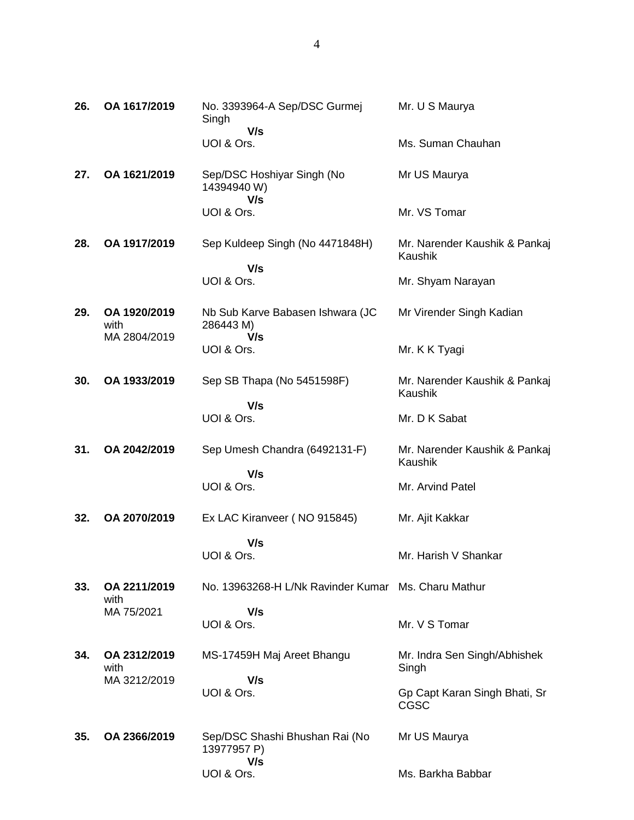| 26. | OA 1617/2019                         | No. 3393964-A Sep/DSC Gurmej<br>Singh                | Mr. U S Maurya                               |
|-----|--------------------------------------|------------------------------------------------------|----------------------------------------------|
|     |                                      | V/s<br>UOI & Ors.                                    | Ms. Suman Chauhan                            |
| 27. | OA 1621/2019                         | Sep/DSC Hoshiyar Singh (No<br>14394940W)             | Mr US Maurya                                 |
|     |                                      | V/s<br>UOI & Ors.                                    | Mr. VS Tomar                                 |
| 28. | OA 1917/2019                         | Sep Kuldeep Singh (No 4471848H)                      | Mr. Narender Kaushik & Pankaj<br>Kaushik     |
|     |                                      | V/s<br>UOI & Ors.                                    | Mr. Shyam Narayan                            |
| 29. | OA 1920/2019<br>with<br>MA 2804/2019 | Nb Sub Karve Babasen Ishwara (JC<br>286443 M)<br>V/s | Mr Virender Singh Kadian                     |
|     |                                      | UOI & Ors.                                           | Mr. K K Tyagi                                |
| 30. | OA 1933/2019                         | Sep SB Thapa (No 5451598F)                           | Mr. Narender Kaushik & Pankaj<br>Kaushik     |
|     |                                      | V/s<br>UOI & Ors.                                    | Mr. D K Sabat                                |
| 31. | OA 2042/2019                         | Sep Umesh Chandra (6492131-F)                        | Mr. Narender Kaushik & Pankaj<br>Kaushik     |
|     |                                      | V/s<br>UOI & Ors.                                    | Mr. Arvind Patel                             |
| 32. | OA 2070/2019                         | Ex LAC Kiranveer (NO 915845)                         | Mr. Ajit Kakkar                              |
|     |                                      | V/s<br>UOI & Ors.                                    | Mr. Harish V Shankar                         |
| 33. | OA 2211/2019<br>with                 | No. 13963268-H L/Nk Ravinder Kumar Ms. Charu Mathur  |                                              |
|     | MA 75/2021                           | V/s<br>UOI & Ors.                                    | Mr. V S Tomar                                |
| 34. | OA 2312/2019<br>with                 | MS-17459H Maj Areet Bhangu                           | Mr. Indra Sen Singh/Abhishek<br>Singh        |
|     | MA 3212/2019                         | V/s<br>UOI & Ors.                                    | Gp Capt Karan Singh Bhati, Sr<br><b>CGSC</b> |
| 35. | OA 2366/2019                         | Sep/DSC Shashi Bhushan Rai (No<br>13977957 P)        | Mr US Maurya                                 |
|     |                                      | V/s<br>UOI & Ors.                                    | Ms. Barkha Babbar                            |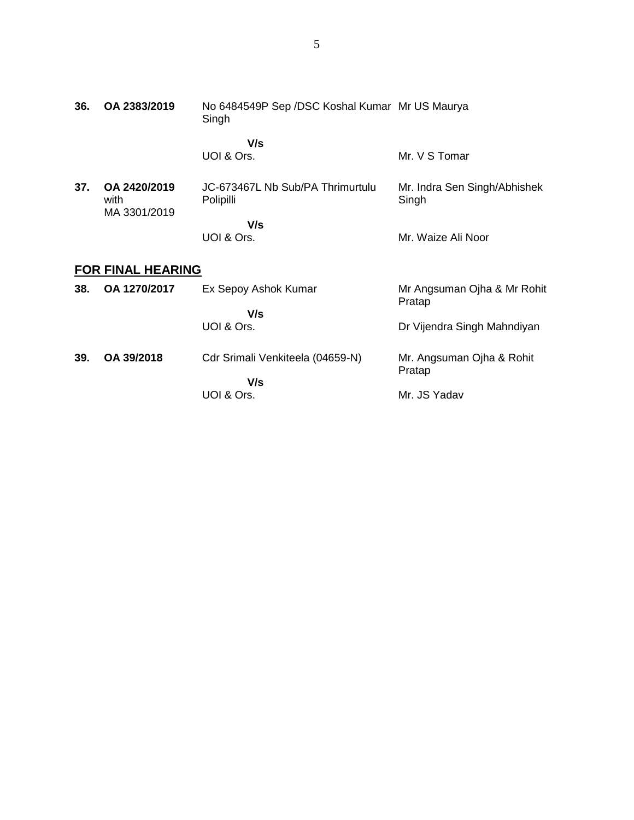| 36. | OA 2383/2019                         | No 6484549P Sep /DSC Koshal Kumar Mr US Maurya<br>Singh |                                       |
|-----|--------------------------------------|---------------------------------------------------------|---------------------------------------|
|     |                                      | V/s<br>UOI & Ors.                                       | Mr. V S Tomar                         |
| 37. | OA 2420/2019<br>with<br>MA 3301/2019 | JC-673467L Nb Sub/PA Thrimurtulu<br>Polipilli           | Mr. Indra Sen Singh/Abhishek<br>Singh |
|     |                                      | V/s<br>UOI & Ors.                                       | Mr. Waize Ali Noor                    |
|     | FOR FINAL HEARING                    |                                                         |                                       |
| 38. | OA 1270/2017                         | Ex Sepoy Ashok Kumar                                    | Mr Angsuman Ojha & Mr Rohit<br>Pratap |
|     |                                      | V/s<br>UOI & Ors.                                       | Dr Vijendra Singh Mahndiyan           |
| 39. | OA 39/2018                           | Cdr Srimali Venkiteela (04659-N)                        | Mr. Angsuman Ojha & Rohit<br>Pratap   |
|     |                                      | V/s<br>UOI & Ors.                                       | Mr. JS Yadav                          |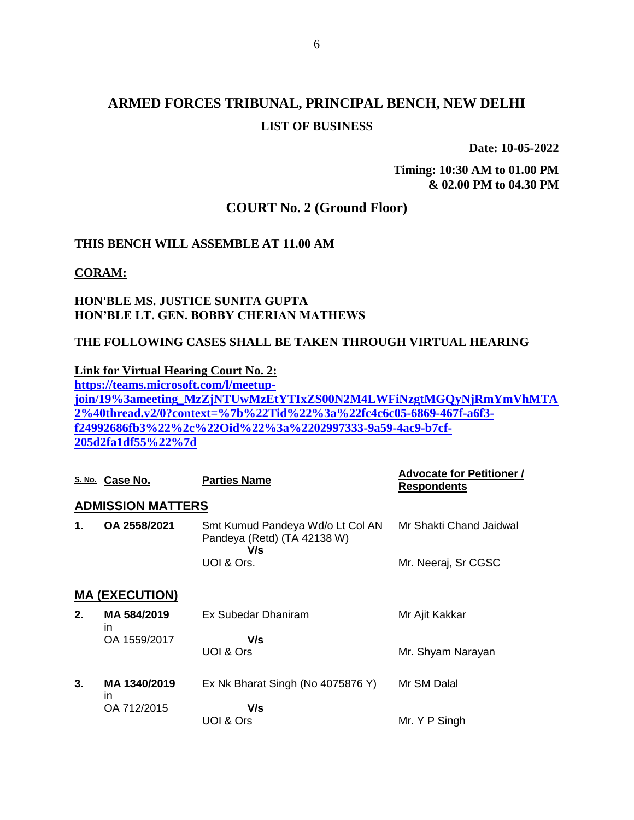**Date: 10-05-2022**

**Timing: 10:30 AM to 01.00 PM & 02.00 PM to 04.30 PM**

### **COURT No. 2 (Ground Floor)**

#### **THIS BENCH WILL ASSEMBLE AT 11.00 AM**

**CORAM:**

#### **HON'BLE MS. JUSTICE SUNITA GUPTA HON'BLE LT. GEN. BOBBY CHERIAN MATHEWS**

#### **THE FOLLOWING CASES SHALL BE TAKEN THROUGH VIRTUAL HEARING**

**Link for Virtual Hearing Court No. 2:**

**[https://teams.microsoft.com/l/meetup](https://teams.microsoft.com/l/meetup-join/19%3ameeting_MzZjNTUwMzEtYTIxZS00N2M4LWFiNzgtMGQyNjRmYmVhMTA2%40thread.v2/0?context=%7b%22Tid%22%3a%22fc4c6c05-6869-467f-a6f3-f24992686fb3%22%2c%22Oid%22%3a%2202997333-9a59-4ac9-b7cf-205d2fa1df55%22%7d)[join/19%3ameeting\\_MzZjNTUwMzEtYTIxZS00N2M4LWFiNzgtMGQyNjRmYmVhMTA](https://teams.microsoft.com/l/meetup-join/19%3ameeting_MzZjNTUwMzEtYTIxZS00N2M4LWFiNzgtMGQyNjRmYmVhMTA2%40thread.v2/0?context=%7b%22Tid%22%3a%22fc4c6c05-6869-467f-a6f3-f24992686fb3%22%2c%22Oid%22%3a%2202997333-9a59-4ac9-b7cf-205d2fa1df55%22%7d) [2%40thread.v2/0?context=%7b%22Tid%22%3a%22fc4c6c05-6869-467f-a6f3](https://teams.microsoft.com/l/meetup-join/19%3ameeting_MzZjNTUwMzEtYTIxZS00N2M4LWFiNzgtMGQyNjRmYmVhMTA2%40thread.v2/0?context=%7b%22Tid%22%3a%22fc4c6c05-6869-467f-a6f3-f24992686fb3%22%2c%22Oid%22%3a%2202997333-9a59-4ac9-b7cf-205d2fa1df55%22%7d) [f24992686fb3%22%2c%22Oid%22%3a%2202997333-9a59-4ac9-b7cf-](https://teams.microsoft.com/l/meetup-join/19%3ameeting_MzZjNTUwMzEtYTIxZS00N2M4LWFiNzgtMGQyNjRmYmVhMTA2%40thread.v2/0?context=%7b%22Tid%22%3a%22fc4c6c05-6869-467f-a6f3-f24992686fb3%22%2c%22Oid%22%3a%2202997333-9a59-4ac9-b7cf-205d2fa1df55%22%7d)[205d2fa1df55%22%7d](https://teams.microsoft.com/l/meetup-join/19%3ameeting_MzZjNTUwMzEtYTIxZS00N2M4LWFiNzgtMGQyNjRmYmVhMTA2%40thread.v2/0?context=%7b%22Tid%22%3a%22fc4c6c05-6869-467f-a6f3-f24992686fb3%22%2c%22Oid%22%3a%2202997333-9a59-4ac9-b7cf-205d2fa1df55%22%7d)**

|    | S. No. Case No.          | <b>Parties Name</b>                                                    | <b>Advocate for Petitioner /</b><br><b>Respondents</b> |
|----|--------------------------|------------------------------------------------------------------------|--------------------------------------------------------|
|    | <b>ADMISSION MATTERS</b> |                                                                        |                                                        |
| 1. | OA 2558/2021             | Smt Kumud Pandeya Wd/o Lt Col AN<br>Pandeya (Retd) (TA 42138 W)<br>V/s | Mr Shakti Chand Jaidwal                                |
|    |                          | UOI & Ors.                                                             | Mr. Neeraj, Sr CGSC                                    |
|    | <b>MA (EXECUTION)</b>    |                                                                        |                                                        |
| 2. | MA 584/2019<br>ın        | Ex Subedar Dhaniram                                                    | Mr Ajit Kakkar                                         |
|    | OA 1559/2017             | V/s                                                                    |                                                        |
|    |                          | UOI & Ors                                                              | Mr. Shyam Narayan                                      |
| 3. | MA 1340/2019<br>in.      | Ex Nk Bharat Singh (No 4075876 Y)                                      | Mr SM Dalal                                            |
|    | OA 712/2015              | V/s<br>UOI & Ors                                                       | Mr. Y P Singh                                          |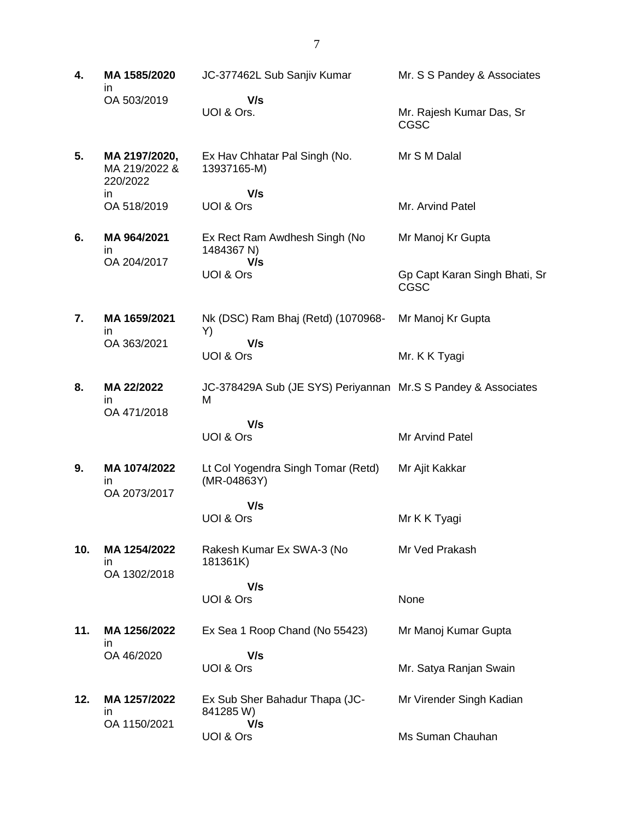| 4.  | MA 1585/2020<br>in                         | JC-377462L Sub Sanjiv Kumar                                        | Mr. S S Pandey & Associates                  |
|-----|--------------------------------------------|--------------------------------------------------------------------|----------------------------------------------|
|     | OA 503/2019                                | V/s<br>UOI & Ors.                                                  | Mr. Rajesh Kumar Das, Sr<br><b>CGSC</b>      |
| 5.  | MA 2197/2020,<br>MA 219/2022 &<br>220/2022 | Ex Hav Chhatar Pal Singh (No.<br>13937165-M)                       | Mr S M Dalal                                 |
|     | in<br>OA 518/2019                          | V/s<br>UOI & Ors                                                   | Mr. Arvind Patel                             |
| 6.  | MA 964/2021<br>in<br>OA 204/2017           | Ex Rect Ram Awdhesh Singh (No<br>1484367 N)<br>V/s                 | Mr Manoj Kr Gupta                            |
|     |                                            | UOI & Ors                                                          | Gp Capt Karan Singh Bhati, Sr<br><b>CGSC</b> |
| 7.  | MA 1659/2021<br>in                         | Nk (DSC) Ram Bhaj (Retd) (1070968-<br>Y)                           | Mr Manoj Kr Gupta                            |
|     | OA 363/2021                                | V/s<br>UOI & Ors                                                   | Mr. K K Tyagi                                |
| 8.  | MA 22/2022<br>in<br>OA 471/2018            | JC-378429A Sub (JE SYS) Periyannan Mr.S S Pandey & Associates<br>M |                                              |
|     |                                            | V/s<br>UOI & Ors                                                   | Mr Arvind Patel                              |
| 9.  | MA 1074/2022<br>in<br>OA 2073/2017         | Lt Col Yogendra Singh Tomar (Retd)<br>(MR-04863Y)                  | Mr Ajit Kakkar                               |
|     |                                            | V/s<br>UOI & Ors                                                   | Mr K K Tyagi                                 |
| 10. | MA 1254/2022<br>ın                         | Rakesh Kumar Ex SWA-3 (No<br>181361K)                              | Mr Ved Prakash                               |
|     | OA 1302/2018                               | V/s<br>UOI & Ors                                                   | None                                         |
| 11. | MA 1256/2022<br>ın                         | Ex Sea 1 Roop Chand (No 55423)                                     | Mr Manoj Kumar Gupta                         |
|     | OA 46/2020                                 | V/s<br>UOI & Ors                                                   | Mr. Satya Ranjan Swain                       |
| 12. | MA 1257/2022<br>in<br>OA 1150/2021         | Ex Sub Sher Bahadur Thapa (JC-<br>841285W)<br>V/s                  | Mr Virender Singh Kadian                     |
|     |                                            | UOI & Ors                                                          | Ms Suman Chauhan                             |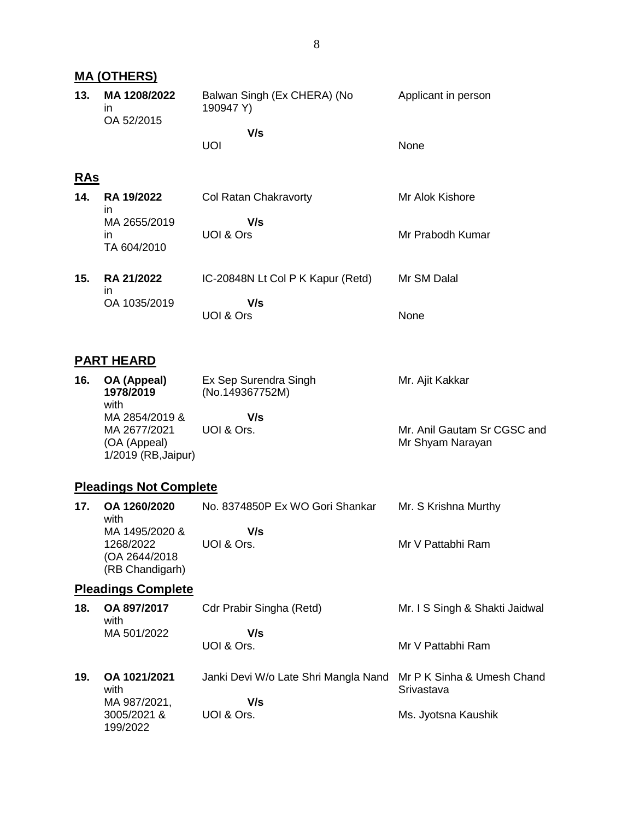### **MA (OTHERS)**

| 13. | MA 1208/2022<br>ın<br>OA 52/2015 | Balwan Singh (Ex CHERA) (No<br>190947 Y) | Applicant in person |
|-----|----------------------------------|------------------------------------------|---------------------|
|     |                                  | V/s<br>UOL                               | <b>None</b>         |

8

### **RAs**

| 14. | <b>RA 19/2022</b>                       | Col Ratan Chakravorty             | Mr Alok Kishore  |
|-----|-----------------------------------------|-----------------------------------|------------------|
|     | ın<br>MA 2655/2019<br>ın<br>TA 604/2010 | V/s<br>UOI & Ors                  | Mr Prabodh Kumar |
| 15. | <b>RA 21/2022</b><br>ın                 | IC-20848N Lt Col P K Kapur (Retd) | Mr SM Dalal      |

| - 11 1       |           |      |
|--------------|-----------|------|
| OA 1035/2019 | V/s       |      |
|              | UOI & Ors | None |

### **PART HEARD**

| 16. | OA (Appeal)<br>1978/2019<br>with                                      | Ex Sep Surendra Singh<br>(No.149367752M) | Mr. Ajit Kakkar                                 |
|-----|-----------------------------------------------------------------------|------------------------------------------|-------------------------------------------------|
|     | MA 2854/2019 &<br>MA 2677/2021<br>(OA (Appeal)<br>1/2019 (RB, Jaipur) | V/s<br>UOI & Ors.                        | Mr. Anil Gautam Sr CGSC and<br>Mr Shyam Narayan |

### **Pleadings Not Complete**

| 17 <sub>1</sub> | OA 1260/2020<br>with                                             | No. 8374850P Ex WO Gori Shankar | Mr. S Krishna Murthy |
|-----------------|------------------------------------------------------------------|---------------------------------|----------------------|
|                 | MA 1495/2020 &<br>1268/2022<br>(OA 2644/2018)<br>(RB Chandigarh) | V/s<br>UOI & Ors.               | Mr V Pattabhi Ram    |

# **Pleadings Complete**

3005/2021 & 199/2022

| 18. | OA 897/2017<br>with  | Cdr Prabir Singha (Retd)                                        | Mr. I S Singh & Shakti Jaidwal |
|-----|----------------------|-----------------------------------------------------------------|--------------------------------|
|     | MA 501/2022          | V/s<br>UOI & Ors.                                               | Mr V Pattabhi Ram              |
| 19. | OA 1021/2021<br>with | Janki Devi W/o Late Shri Mangla Nand Mr P K Sinha & Umesh Chand | Srivastava                     |
|     | MA 987/2021,         | V/s                                                             |                                |

Ms. Jyotsna Kaushik

UOI & Ors.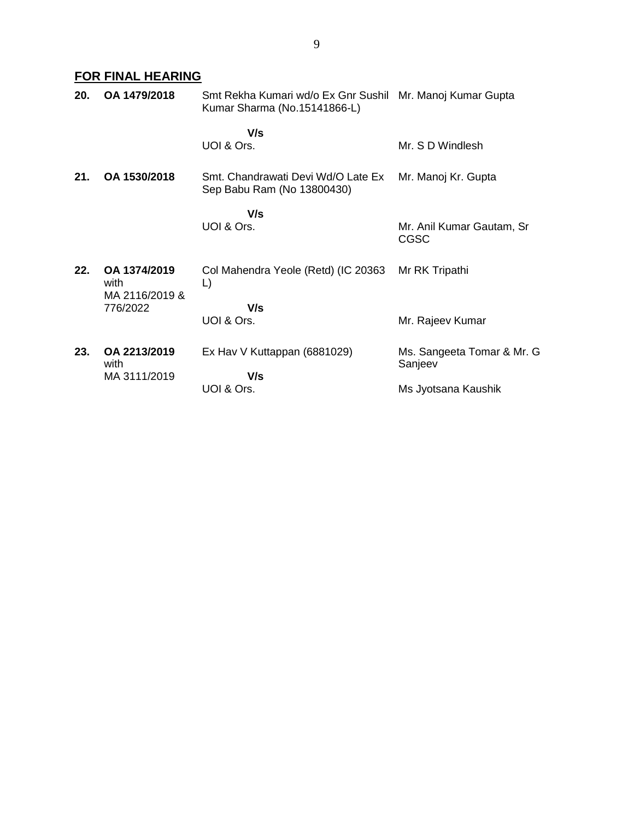# **FOR FINAL HEARING**

| 20. | OA 1479/2018                           | Smt Rekha Kumari wd/o Ex Gnr Sushil Mr. Manoj Kumar Gupta<br>Kumar Sharma (No.15141866-L) |                                          |
|-----|----------------------------------------|-------------------------------------------------------------------------------------------|------------------------------------------|
|     |                                        | V/s<br>UOI & Ors.                                                                         | Mr. S D Windlesh                         |
| 21. | OA 1530/2018                           | Smt. Chandrawati Devi Wd/O Late Ex<br>Sep Babu Ram (No 13800430)                          | Mr. Manoj Kr. Gupta                      |
|     |                                        | V/s<br>UOI & Ors.                                                                         | Mr. Anil Kumar Gautam, Sr<br><b>CGSC</b> |
| 22. | OA 1374/2019<br>with<br>MA 2116/2019 & | Col Mahendra Yeole (Retd) (IC 20363<br>L)                                                 | Mr RK Tripathi                           |
|     | 776/2022                               | V/s<br>UOI & Ors.                                                                         | Mr. Rajeev Kumar                         |
| 23. | OA 2213/2019<br>with                   | Ex Hav V Kuttappan (6881029)                                                              | Ms. Sangeeta Tomar & Mr. G<br>Sanjeev    |
|     | MA 3111/2019                           | V/s<br>UOI & Ors.                                                                         | Ms Jyotsana Kaushik                      |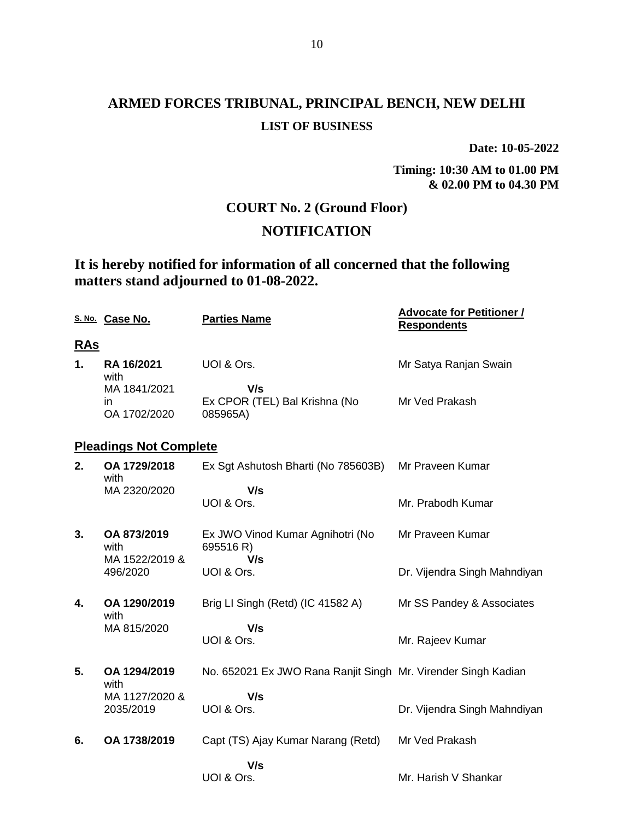**Date: 10-05-2022**

**Timing: 10:30 AM to 01.00 PM & 02.00 PM to 04.30 PM**

## **COURT No. 2 (Ground Floor)**

## **NOTIFICATION**

## **It is hereby notified for information of all concerned that the following matters stand adjourned to 01-08-2022.**

|            | S. No. Case No.                    | <b>Parties Name</b>                                           | <b>Advocate for Petitioner /</b><br><b>Respondents</b> |
|------------|------------------------------------|---------------------------------------------------------------|--------------------------------------------------------|
| <u>RAs</u> |                                    |                                                               |                                                        |
| 1.         | RA 16/2021<br>with                 | UOI & Ors.                                                    | Mr Satya Ranjan Swain                                  |
|            | MA 1841/2021<br>in<br>OA 1702/2020 | V/s<br>Ex CPOR (TEL) Bal Krishna (No<br>085965A)              | Mr Ved Prakash                                         |
|            | <b>Pleadings Not Complete</b>      |                                                               |                                                        |
| 2.         | OA 1729/2018<br>with               | Ex Sgt Ashutosh Bharti (No 785603B)                           | Mr Praveen Kumar                                       |
|            | MA 2320/2020                       | V/s<br>UOI & Ors.                                             | Mr. Prabodh Kumar                                      |
| 3.         | OA 873/2019<br>with                | Ex JWO Vinod Kumar Agnihotri (No<br>695516 R)                 | Mr Praveen Kumar                                       |
|            | MA 1522/2019 &<br>496/2020         | V/s<br>UOI & Ors.                                             | Dr. Vijendra Singh Mahndiyan                           |
| 4.         | OA 1290/2019<br>with               | Brig LI Singh (Retd) (IC 41582 A)                             | Mr SS Pandey & Associates                              |
|            | MA 815/2020                        | V/s<br>UOI & Ors.                                             | Mr. Rajeev Kumar                                       |
| 5.         | OA 1294/2019<br>with               | No. 652021 Ex JWO Rana Ranjit Singh Mr. Virender Singh Kadian |                                                        |
|            | MA 1127/2020 &<br>2035/2019        | V/s<br>UOI & Ors.                                             | Dr. Vijendra Singh Mahndiyan                           |
| 6.         | OA 1738/2019                       | Capt (TS) Ajay Kumar Narang (Retd)                            | Mr Ved Prakash                                         |
|            |                                    | V/s<br>UOI & Ors.                                             | Mr. Harish V Shankar                                   |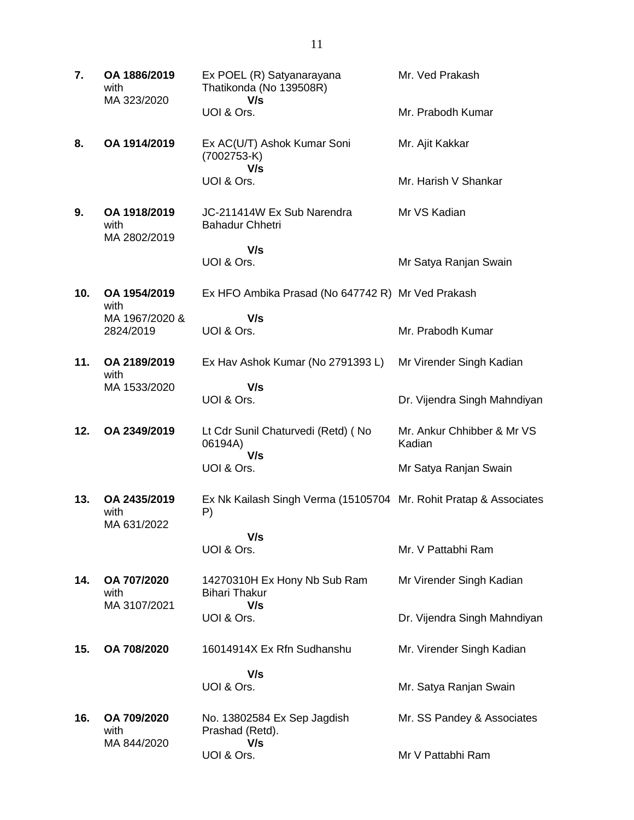| 7.  | OA 1886/2019<br>with<br>MA 323/2020  | Ex POEL (R) Satyanarayana<br>Thatikonda (No 139508R)<br>V/s             | Mr. Ved Prakash                      |
|-----|--------------------------------------|-------------------------------------------------------------------------|--------------------------------------|
|     |                                      | UOI & Ors.                                                              | Mr. Prabodh Kumar                    |
| 8.  | OA 1914/2019                         | Ex AC(U/T) Ashok Kumar Soni<br>$(7002753-K)$<br>V/s                     | Mr. Ajit Kakkar                      |
|     |                                      | UOI & Ors.                                                              | Mr. Harish V Shankar                 |
| 9.  | OA 1918/2019<br>with<br>MA 2802/2019 | JC-211414W Ex Sub Narendra<br><b>Bahadur Chhetri</b>                    | Mr VS Kadian                         |
|     |                                      | V/s<br>UOI & Ors.                                                       |                                      |
|     |                                      |                                                                         | Mr Satya Ranjan Swain                |
| 10. | OA 1954/2019<br>with                 | Ex HFO Ambika Prasad (No 647742 R) Mr Ved Prakash                       |                                      |
|     | MA 1967/2020 &<br>2824/2019          | V/s<br>UOI & Ors.                                                       | Mr. Prabodh Kumar                    |
| 11. | OA 2189/2019<br>with                 | Ex Hav Ashok Kumar (No 2791393 L)                                       | Mr Virender Singh Kadian             |
|     | MA 1533/2020                         | V/s<br>UOI & Ors.                                                       | Dr. Vijendra Singh Mahndiyan         |
| 12. | OA 2349/2019                         | Lt Cdr Sunil Chaturvedi (Retd) (No<br>06194A)<br>V/s                    | Mr. Ankur Chhibber & Mr VS<br>Kadian |
|     |                                      | UOI & Ors.                                                              | Mr Satya Ranjan Swain                |
| 13. | OA 2435/2019<br>with<br>MA 631/2022  | Ex Nk Kailash Singh Verma (15105704 Mr. Rohit Pratap & Associates<br>P) |                                      |
|     |                                      | V/s<br>UOI & Ors.                                                       | Mr. V Pattabhi Ram                   |
| 14. | OA 707/2020<br>with<br>MA 3107/2021  | 14270310H Ex Hony Nb Sub Ram<br><b>Bihari Thakur</b><br>V/s             | Mr Virender Singh Kadian             |
|     |                                      | UOI & Ors.                                                              | Dr. Vijendra Singh Mahndiyan         |
| 15. | OA 708/2020                          | 16014914X Ex Rfn Sudhanshu                                              | Mr. Virender Singh Kadian            |
|     |                                      | V/s                                                                     |                                      |
|     |                                      | UOI & Ors.                                                              | Mr. Satya Ranjan Swain               |
| 16. | OA 709/2020<br>with                  | No. 13802584 Ex Sep Jagdish<br>Prashad (Retd).<br>V/s                   | Mr. SS Pandey & Associates           |
|     | MA 844/2020                          | UOI & Ors.                                                              | Mr V Pattabhi Ram                    |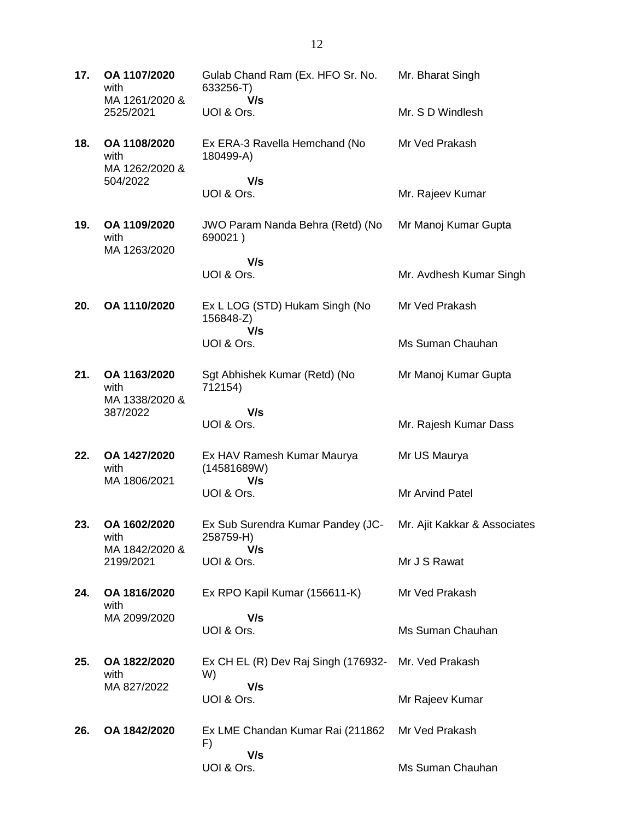| 17. | OA 1107/2020<br>with<br>MA 1261/2020 &<br>2525/2021 | Gulab Chand Ram (Ex. HFO Sr. No.<br>633256-T)      | Mr. Bharat Singh             |
|-----|-----------------------------------------------------|----------------------------------------------------|------------------------------|
|     |                                                     | V/s<br>UOI & Ors.                                  | Mr. S D Windlesh             |
| 18. | OA 1108/2020<br>with<br>MA 1262/2020 &              | Ex ERA-3 Ravella Hemchand (No<br>180499-A)         | Mr Ved Prakash               |
|     | 504/2022                                            | V/s<br>UOI & Ors.                                  | Mr. Rajeev Kumar             |
| 19. | OA 1109/2020<br>with                                | JWO Param Nanda Behra (Retd) (No<br>690021)        | Mr Manoj Kumar Gupta         |
|     | MA 1263/2020                                        | V/s<br>UOI & Ors.                                  | Mr. Avdhesh Kumar Singh      |
| 20. | OA 1110/2020                                        | Ex L LOG (STD) Hukam Singh (No<br>156848-Z)<br>V/s | Mr Ved Prakash               |
|     |                                                     | UOI & Ors.                                         | Ms Suman Chauhan             |
| 21. | OA 1163/2020<br>with<br>MA 1338/2020 &              | Sgt Abhishek Kumar (Retd) (No<br>712154)           | Mr Manoj Kumar Gupta         |
|     | 387/2022                                            | V/s<br>UOI & Ors.                                  | Mr. Rajesh Kumar Dass        |
| 22. | OA 1427/2020<br>with                                | Ex HAV Ramesh Kumar Maurya<br>(14581689W)          | Mr US Maurya                 |
|     | MA 1806/2021                                        | V/s<br>UOI & Ors.                                  | Mr Arvind Patel              |
| 23. | OA 1602/2020<br>with                                | Ex Sub Surendra Kumar Pandey (JC-<br>258759-H)     | Mr. Ajit Kakkar & Associates |
|     | MA 1842/2020 &<br>2199/2021                         | V/s<br>UOI & Ors.                                  | Mr J S Rawat                 |
| 24. | OA 1816/2020<br>with                                | Ex RPO Kapil Kumar (156611-K)                      | Mr Ved Prakash               |
|     | MA 2099/2020                                        | V/s<br>UOI & Ors.                                  | Ms Suman Chauhan             |
| 25. | OA 1822/2020<br>with                                | Ex CH EL (R) Dev Raj Singh (176932-<br>W)          | Mr. Ved Prakash              |
|     | MA 827/2022                                         | V/s<br>UOI & Ors.                                  | Mr Rajeev Kumar              |
| 26. | OA 1842/2020                                        | Ex LME Chandan Kumar Rai (211862)<br>F)            | Mr Ved Prakash               |
|     |                                                     | V/s<br>UOI & Ors.                                  | Ms Suman Chauhan             |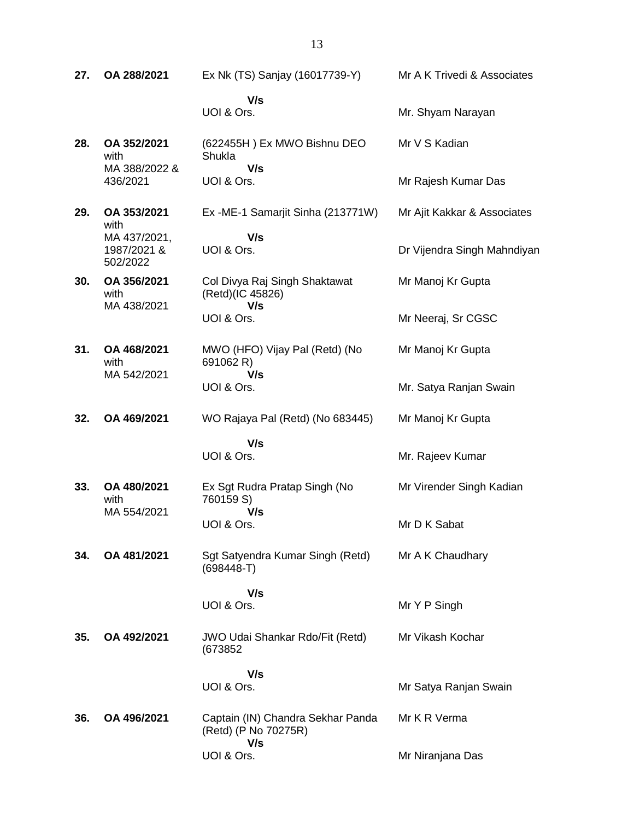| 27. | OA 288/2021                             | Ex Nk (TS) Sanjay (16017739-Y)                           | Mr A K Trivedi & Associates |
|-----|-----------------------------------------|----------------------------------------------------------|-----------------------------|
|     |                                         | V/s<br>UOI & Ors.                                        | Mr. Shyam Narayan           |
| 28. | OA 352/2021<br>with                     | (622455H) Ex MWO Bishnu DEO<br>Shukla                    | Mr V S Kadian               |
|     | MA 388/2022 &<br>436/2021               | V/s<br>UOI & Ors.                                        | Mr Rajesh Kumar Das         |
| 29. | OA 353/2021<br>with                     | Ex -ME-1 Samarjit Sinha (213771W)                        | Mr Ajit Kakkar & Associates |
|     | MA 437/2021,<br>1987/2021 &<br>502/2022 | V/s<br>UOI & Ors.                                        | Dr Vijendra Singh Mahndiyan |
| 30. | OA 356/2021<br>with<br>MA 438/2021      | Col Divya Raj Singh Shaktawat<br>(Retd)(IC 45826)<br>V/s | Mr Manoj Kr Gupta           |
|     |                                         | UOI & Ors.                                               | Mr Neeraj, Sr CGSC          |
| 31. | OA 468/2021<br>with                     | MWO (HFO) Vijay Pal (Retd) (No<br>691062 R)              | Mr Manoj Kr Gupta           |
|     | MA 542/2021                             | V/s<br>UOI & Ors.                                        | Mr. Satya Ranjan Swain      |
| 32. | OA 469/2021                             | WO Rajaya Pal (Retd) (No 683445)                         | Mr Manoj Kr Gupta           |
|     |                                         | V/s<br>UOI & Ors.                                        | Mr. Rajeev Kumar            |
| 33. | OA 480/2021<br>with                     | Ex Sgt Rudra Pratap Singh (No<br>760159 S)               | Mr Virender Singh Kadian    |
|     | MA 554/2021                             | V/s<br>UOI & Ors.                                        | Mr D K Sabat                |
| 34. | OA 481/2021                             | Sgt Satyendra Kumar Singh (Retd)<br>$(698448-T)$         | Mr A K Chaudhary            |
|     |                                         | V/s<br>UOI & Ors.                                        | Mr Y P Singh                |
| 35. | OA 492/2021                             | <b>JWO Udai Shankar Rdo/Fit (Retd)</b><br>(673852)       | Mr Vikash Kochar            |
|     |                                         | V/s<br>UOI & Ors.                                        | Mr Satya Ranjan Swain       |
| 36. | OA 496/2021                             | Captain (IN) Chandra Sekhar Panda                        | Mr K R Verma                |
|     |                                         | (Retd) (P No 70275R)<br>V/s<br>UOI & Ors.                | Mr Niranjana Das            |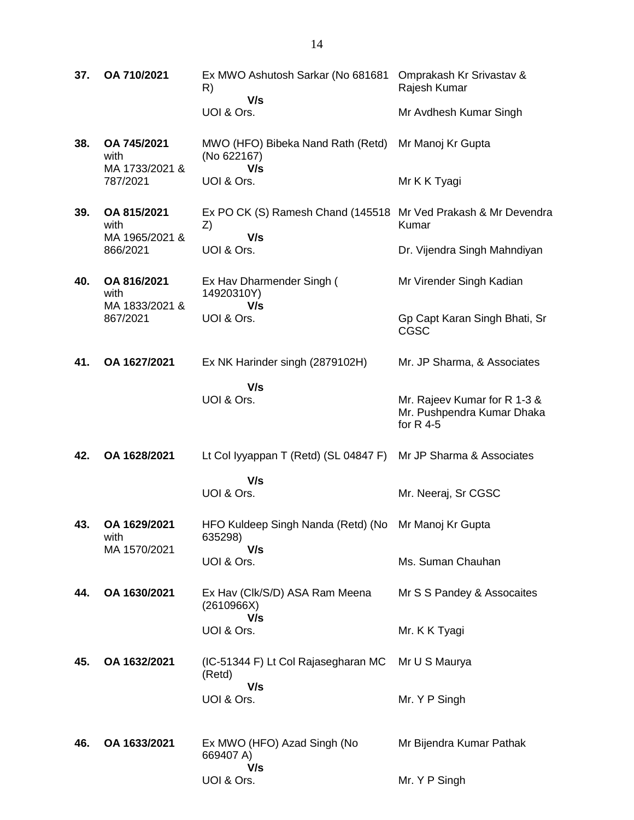**37. OA 710/2021** Ex MWO Ashutosh Sarkar (No 681681 R)  **V/s** UOI & Ors. Omprakash Kr Srivastav & Rajesh Kumar Mr Avdhesh Kumar Singh **38. OA 745/2021** with MA 1733/2021 & 787/2021 MWO (HFO) Bibeka Nand Rath (Retd) (No 622167)  **V/s** UOI & Ors. Mr Manoj Kr Gupta Mr K K Tyagi **39. OA 815/2021** with MA 1965/2021 & 866/2021 Ex PO CK (S) Ramesh Chand (145518 Mr Ved Prakash & Mr Devendra Z)  **V/s** UOI & Ors. Kumar Dr. Vijendra Singh Mahndiyan **40. OA 816/2021** with MA 1833/2021 & 867/2021 Ex Hav Dharmender Singh ( 14920310Y)  **V/s** UOI & Ors. Mr Virender Singh Kadian Gp Capt Karan Singh Bhati, Sr CGSC **41. OA 1627/2021** Ex NK Harinder singh (2879102H)  **V/s** UOI & Ors. Mr. JP Sharma, & Associates Mr. Rajeev Kumar for R 1-3 & Mr. Pushpendra Kumar Dhaka for R 4-5 **42. OA 1628/2021** Lt Col Iyyappan T (Retd) (SL 04847 F) Mr JP Sharma & Associates  **V/s** UOI & Ors. Mr. Neeraj, Sr CGSC **43. OA 1629/2021** with MA 1570/2021 HFO Kuldeep Singh Nanda (Retd) (No Mr Manoj Kr Gupta 635298)  **V/s** UOI & Ors. Ms. Suman Chauhan **44. OA 1630/2021** Ex Hav (Clk/S/D) ASA Ram Meena (2610966X)  **V/s** UOI & Ors. Mr S S Pandey & Assocaites Mr. K K Tyagi **45. OA 1632/2021** (IC-51344 F) Lt Col Rajasegharan MC (Retd)  **V/s** UOI & Ors. Mr U S Maurya Mr. Y P Singh **46. OA 1633/2021** Ex MWO (HFO) Azad Singh (No 669407 A)  **V/s** Mr Bijendra Kumar Pathak

Mr. Y P Singh

UOI & Ors.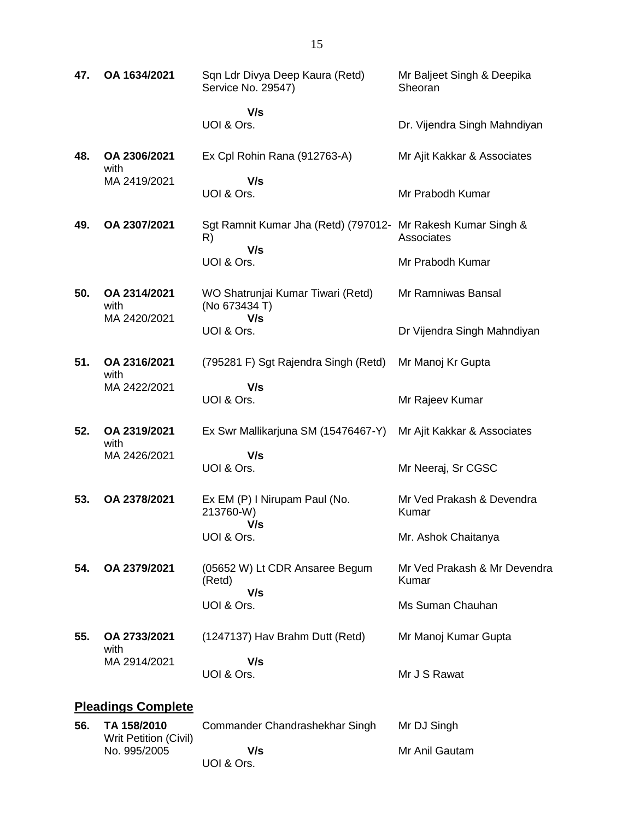| 47. | OA 1634/2021                         | Sqn Ldr Divya Deep Kaura (Retd)<br>Service No. 29547)                     | Mr Baljeet Singh & Deepika<br>Sheoran |
|-----|--------------------------------------|---------------------------------------------------------------------------|---------------------------------------|
|     |                                      | V/s<br>UOI & Ors.                                                         | Dr. Vijendra Singh Mahndiyan          |
| 48. | OA 2306/2021<br>with                 | Ex Cpl Rohin Rana (912763-A)                                              | Mr Ajit Kakkar & Associates           |
|     | MA 2419/2021                         | V/s<br>UOI & Ors.                                                         | Mr Prabodh Kumar                      |
| 49. | OA 2307/2021                         | Sgt Ramnit Kumar Jha (Retd) (797012- Mr Rakesh Kumar Singh &<br>R)<br>V/s | Associates                            |
|     |                                      | UOI & Ors.                                                                | Mr Prabodh Kumar                      |
| 50. | OA 2314/2021<br>with<br>MA 2420/2021 | WO Shatrunjai Kumar Tiwari (Retd)<br>(No 673434 T)<br>V/s                 | Mr Ramniwas Bansal                    |
|     |                                      | UOI & Ors.                                                                | Dr Vijendra Singh Mahndiyan           |
| 51. | OA 2316/2021<br>with                 | (795281 F) Sgt Rajendra Singh (Retd)                                      | Mr Manoj Kr Gupta                     |
|     | MA 2422/2021                         | V/s<br>UOI & Ors.                                                         | Mr Rajeev Kumar                       |
| 52. | OA 2319/2021<br>with                 | Ex Swr Mallikarjuna SM (15476467-Y)                                       | Mr Ajit Kakkar & Associates           |
|     | MA 2426/2021                         | V/s<br>UOI & Ors.                                                         | Mr Neeraj, Sr CGSC                    |
| 53. | OA 2378/2021                         | Ex EM (P) I Nirupam Paul (No.<br>213760-W)                                | Mr Ved Prakash & Devendra<br>Kumar    |
|     |                                      | V/s<br>UOI & Ors.                                                         | Mr. Ashok Chaitanya                   |
| 54. | OA 2379/2021                         | (05652 W) Lt CDR Ansaree Begum<br>(Retd)                                  | Mr Ved Prakash & Mr Devendra<br>Kumar |
|     |                                      | V/s<br>UOI & Ors.                                                         | Ms Suman Chauhan                      |
| 55. | OA 2733/2021<br>with                 | (1247137) Hav Brahm Dutt (Retd)                                           | Mr Manoj Kumar Gupta                  |
|     | MA 2914/2021                         | V/s<br>UOI & Ors.                                                         | Mr J S Rawat                          |
|     | <b>Pleadings Complete</b>            |                                                                           |                                       |
|     | TA 150/2010                          | Commander Chandrachekhar Singh Mr D I Singh                               |                                       |

| 56. | TA 158/2010<br>Writ Petition (Civil) | Commander Chandrashekhar Singh | Mr DJ Singh    |
|-----|--------------------------------------|--------------------------------|----------------|
|     | No. 995/2005                         | V/s                            | Mr Anil Gautam |
|     |                                      | UOI & Ors.                     |                |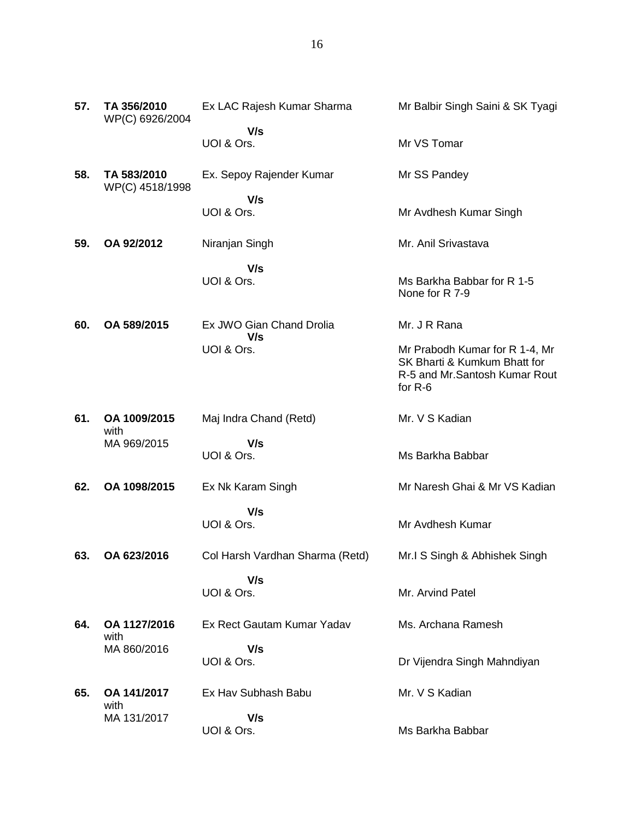| 57. | TA 356/2010<br>WP(C) 6926/2004 | Ex LAC Rajesh Kumar Sharma      | Mr Balbir Singh Saini & SK Tyagi                                                                              |
|-----|--------------------------------|---------------------------------|---------------------------------------------------------------------------------------------------------------|
|     |                                | V/s                             |                                                                                                               |
|     |                                | UOI & Ors.                      | Mr VS Tomar                                                                                                   |
| 58. | TA 583/2010<br>WP(C) 4518/1998 | Ex. Sepoy Rajender Kumar        | Mr SS Pandey                                                                                                  |
|     |                                | V/s                             |                                                                                                               |
|     |                                | UOI & Ors.                      | Mr Avdhesh Kumar Singh                                                                                        |
| 59. | OA 92/2012                     | Niranjan Singh                  | Mr. Anil Srivastava                                                                                           |
|     |                                | V/s                             |                                                                                                               |
|     |                                | UOI & Ors.                      | Ms Barkha Babbar for R 1-5<br>None for R 7-9                                                                  |
| 60. | OA 589/2015                    | Ex JWO Gian Chand Drolia<br>V/s | Mr. J R Rana                                                                                                  |
|     |                                | UOI & Ors.                      | Mr Prabodh Kumar for R 1-4, Mr<br>SK Bharti & Kumkum Bhatt for<br>R-5 and Mr. Santosh Kumar Rout<br>for $R-6$ |
| 61. | OA 1009/2015<br>with           | Maj Indra Chand (Retd)          | Mr. V S Kadian                                                                                                |
|     | MA 969/2015                    | V/s                             |                                                                                                               |
|     |                                | UOI & Ors.                      | Ms Barkha Babbar                                                                                              |
| 62. | OA 1098/2015                   | Ex Nk Karam Singh               | Mr Naresh Ghai & Mr VS Kadian                                                                                 |
|     |                                | V/s<br>UOI & Ors.               | Mr Avdhesh Kumar                                                                                              |
| 63. | OA 623/2016                    | Col Harsh Vardhan Sharma (Retd) | Mr.I S Singh & Abhishek Singh                                                                                 |
|     |                                | V/s<br>UOI & Ors.               | Mr. Arvind Patel                                                                                              |
| 64. | OA 1127/2016<br>with           | Ex Rect Gautam Kumar Yadav      | Ms. Archana Ramesh                                                                                            |
|     | MA 860/2016                    | V/s                             |                                                                                                               |
|     |                                | UOI & Ors.                      | Dr Vijendra Singh Mahndiyan                                                                                   |
| 65. | OA 141/2017<br>with            | Ex Hav Subhash Babu             | Mr. V S Kadian                                                                                                |
|     | MA 131/2017                    | V/s                             |                                                                                                               |
|     |                                | UOI & Ors.                      | Ms Barkha Babbar                                                                                              |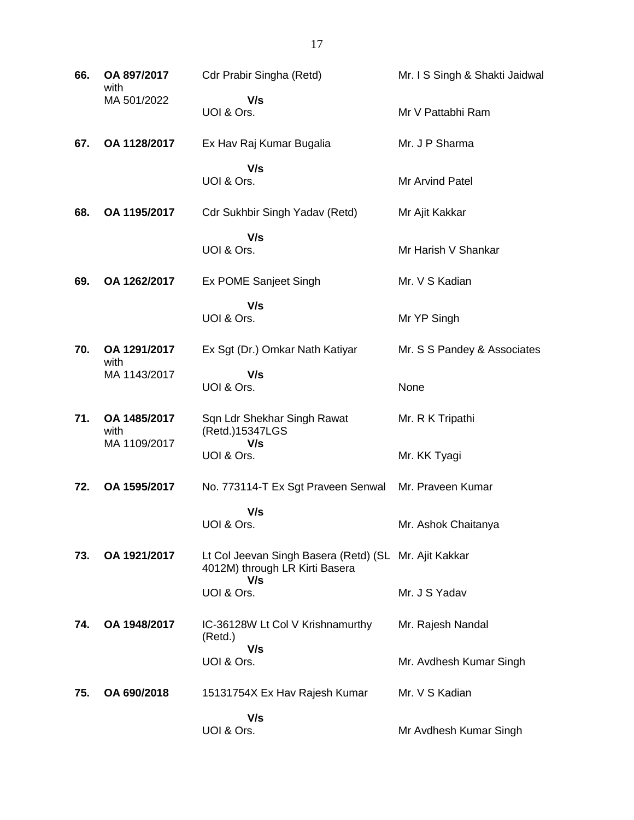| 66. | OA 897/2017<br>with  | Cdr Prabir Singha (Retd)                                                                | Mr. I S Singh & Shakti Jaidwal |
|-----|----------------------|-----------------------------------------------------------------------------------------|--------------------------------|
|     | MA 501/2022          | V/s<br>UOI & Ors.                                                                       | Mr V Pattabhi Ram              |
| 67. | OA 1128/2017         | Ex Hav Raj Kumar Bugalia                                                                | Mr. J P Sharma                 |
|     |                      | V/s<br>UOI & Ors.                                                                       | Mr Arvind Patel                |
| 68. | OA 1195/2017         | Cdr Sukhbir Singh Yadav (Retd)                                                          | Mr Ajit Kakkar                 |
|     |                      | V/s<br>UOI & Ors.                                                                       | Mr Harish V Shankar            |
| 69. | OA 1262/2017         | Ex POME Sanjeet Singh                                                                   | Mr. V S Kadian                 |
|     |                      | V/s<br>UOI & Ors.                                                                       | Mr YP Singh                    |
| 70. | OA 1291/2017<br>with | Ex Sgt (Dr.) Omkar Nath Katiyar                                                         | Mr. S S Pandey & Associates    |
|     | MA 1143/2017         | V/s<br>UOI & Ors.                                                                       | None                           |
| 71. | OA 1485/2017<br>with | Sqn Ldr Shekhar Singh Rawat<br>(Retd.)15347LGS                                          | Mr. R K Tripathi               |
|     | MA 1109/2017         | V/s<br>UOI & Ors.                                                                       | Mr. KK Tyagi                   |
| 72. | OA 1595/2017         | No. 773114-T Ex Sgt Praveen Senwal                                                      | Mr. Praveen Kumar              |
|     |                      | V/s<br>UOI & Ors.                                                                       | Mr. Ashok Chaitanya            |
| 73. | OA 1921/2017         | Lt Col Jeevan Singh Basera (Retd) (SL Mr. Ajit Kakkar<br>4012M) through LR Kirti Basera |                                |
|     |                      | V/s<br>UOI & Ors.                                                                       | Mr. J S Yadav                  |
| 74. | OA 1948/2017         | IC-36128W Lt Col V Krishnamurthy<br>(Retd.)                                             | Mr. Rajesh Nandal              |
|     |                      | V/s<br>UOI & Ors.                                                                       | Mr. Avdhesh Kumar Singh        |
| 75. | OA 690/2018          | 15131754X Ex Hav Rajesh Kumar                                                           | Mr. V S Kadian                 |
|     |                      | V/s<br>UOI & Ors.                                                                       | Mr Avdhesh Kumar Singh         |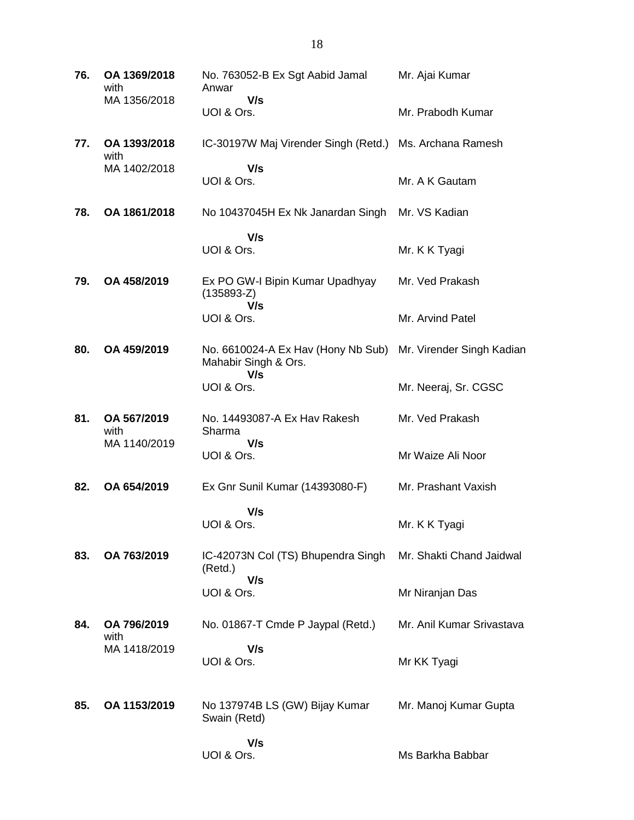| 76. | OA 1369/2018<br>with | No. 763052-B Ex Sgt Aabid Jamal<br>Anwar                   | Mr. Ajai Kumar            |
|-----|----------------------|------------------------------------------------------------|---------------------------|
|     | MA 1356/2018         | V/s<br>UOI & Ors.                                          | Mr. Prabodh Kumar         |
| 77. | OA 1393/2018<br>with | IC-30197W Maj Virender Singh (Retd.)                       | Ms. Archana Ramesh        |
|     | MA 1402/2018         | V/s<br>UOI & Ors.                                          | Mr. A K Gautam            |
| 78. | OA 1861/2018         | No 10437045H Ex Nk Janardan Singh                          | Mr. VS Kadian             |
|     |                      | V/s<br>UOI & Ors.                                          | Mr. K K Tyagi             |
| 79. | OA 458/2019          | Ex PO GW-I Bipin Kumar Upadhyay<br>$(135893-Z)$            | Mr. Ved Prakash           |
|     |                      | V/s<br>UOI & Ors.                                          | Mr. Arvind Patel          |
| 80. | OA 459/2019          | No. 6610024-A Ex Hav (Hony Nb Sub)<br>Mahabir Singh & Ors. | Mr. Virender Singh Kadian |
|     |                      | V/s<br>UOI & Ors.                                          | Mr. Neeraj, Sr. CGSC      |
| 81. | OA 567/2019<br>with  | No. 14493087-A Ex Hav Rakesh<br>Sharma                     | Mr. Ved Prakash           |
|     | MA 1140/2019         | V/s<br>UOI & Ors.                                          | Mr Waize Ali Noor         |
| 82. | OA 654/2019          | Ex Gnr Sunil Kumar (14393080-F)                            | Mr. Prashant Vaxish       |
|     |                      | V/s<br>UOI & Ors.                                          | Mr. K K Tyagi             |
| 83. | OA 763/2019          | IC-42073N Col (TS) Bhupendra Singh<br>(Retd.)              | Mr. Shakti Chand Jaidwal  |
|     |                      | V/s<br>UOI & Ors.                                          | Mr Niranjan Das           |
| 84. | OA 796/2019<br>with  | No. 01867-T Cmde P Jaypal (Retd.)                          | Mr. Anil Kumar Srivastava |
|     | MA 1418/2019         | V/s<br>UOI & Ors.                                          | Mr KK Tyagi               |
| 85. | OA 1153/2019         | No 137974B LS (GW) Bijay Kumar<br>Swain (Retd)             | Mr. Manoj Kumar Gupta     |
|     |                      | V/s<br>UOI & Ors.                                          | Ms Barkha Babbar          |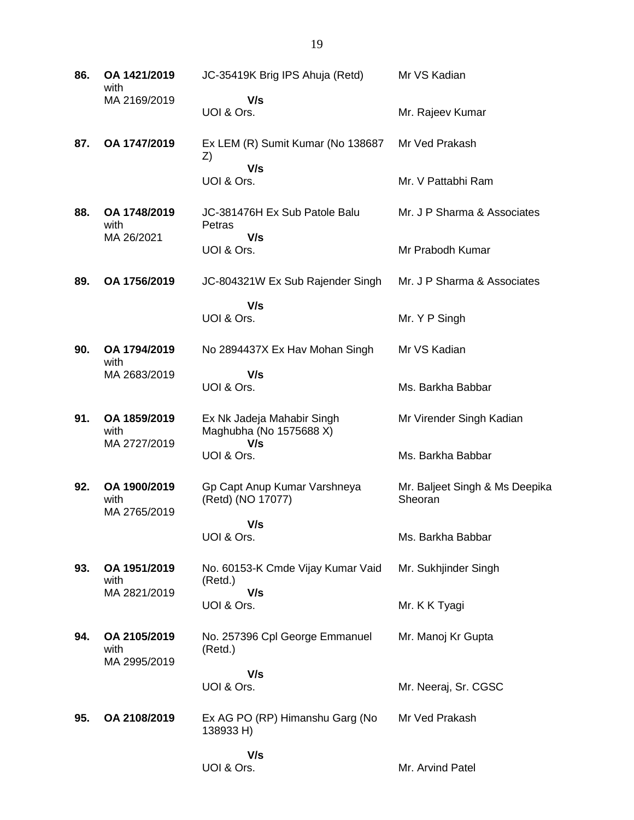**86. OA 1421/2019** with MA 2169/2019 JC-35419K Brig IPS Ahuja (Retd)  **V/s** UOI & Ors. Mr VS Kadian Mr. Rajeev Kumar **87. OA 1747/2019** Ex LEM (R) Sumit Kumar (No 138687 Z)  **V/s** UOI & Ors. Mr Ved Prakash Mr. V Pattabhi Ram **88. OA 1748/2019** with MA 26/2021 JC-381476H Ex Sub Patole Balu **Petras V/s** UOI & Ors. Mr. J P Sharma & Associates Mr Prabodh Kumar **89. OA 1756/2019** JC-804321W Ex Sub Rajender Singh  **V/s** UOI & Ors. Mr. J P Sharma & Associates Mr. Y P Singh **90. OA 1794/2019** with MA 2683/2019 No 2894437X Ex Hav Mohan Singh  **V/s** UOI & Ors. Mr VS Kadian Ms. Barkha Babbar **91. OA 1859/2019** with MA 2727/2019 Ex Nk Jadeja Mahabir Singh Maghubha (No 1575688 X)  **V/s** UOI & Ors. Mr Virender Singh Kadian Ms. Barkha Babbar **92. OA 1900/2019** with MA 2765/2019 Gp Capt Anup Kumar Varshneya (Retd) (NO 17077)  **V/s** UOI & Ors. Mr. Baljeet Singh & Ms Deepika **Sheoran** Ms. Barkha Babbar **93. OA 1951/2019** with MA 2821/2019 No. 60153-K Cmde Vijay Kumar Vaid (Retd.)  **V/s** UOI & Ors. Mr. Sukhjinder Singh Mr. K K Tyagi **94. OA 2105/2019** with MA 2995/2019 No. 257396 Cpl George Emmanuel (Retd.)  **V/s** UOI & Ors. Mr. Manoj Kr Gupta Mr. Neeraj, Sr. CGSC **95. OA 2108/2019** Ex AG PO (RP) Himanshu Garg (No 138933 H)  **V/s** UOI & Ors. Mr Ved Prakash Mr. Arvind Patel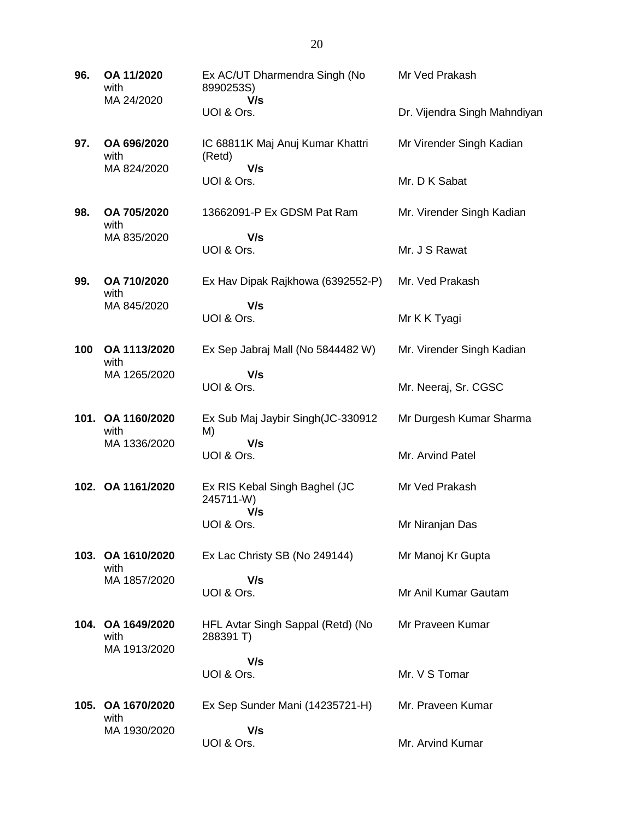| 96. | OA 11/2020<br>with<br>MA 24/2020          | Ex AC/UT Dharmendra Singh (No<br>8990253S)        | Mr Ved Prakash               |
|-----|-------------------------------------------|---------------------------------------------------|------------------------------|
|     |                                           | V/s<br>UOI & Ors.                                 | Dr. Vijendra Singh Mahndiyan |
| 97. | OA 696/2020<br>with                       | IC 68811K Maj Anuj Kumar Khattri<br>(Retd)        | Mr Virender Singh Kadian     |
|     | MA 824/2020                               | V/s<br>UOI & Ors.                                 | Mr. D K Sabat                |
| 98. | OA 705/2020<br>with                       | 13662091-P Ex GDSM Pat Ram                        | Mr. Virender Singh Kadian    |
|     | MA 835/2020                               | V/s<br>UOI & Ors.                                 | Mr. J S Rawat                |
| 99. | OA 710/2020<br>with                       | Ex Hav Dipak Rajkhowa (6392552-P)                 | Mr. Ved Prakash              |
|     | MA 845/2020                               | V/s<br>UOI & Ors.                                 | Mr K K Tyagi                 |
| 100 | OA 1113/2020<br>with                      | Ex Sep Jabraj Mall (No 5844482 W)                 | Mr. Virender Singh Kadian    |
|     | MA 1265/2020                              | V/s<br>UOI & Ors.                                 | Mr. Neeraj, Sr. CGSC         |
|     | 101. OA 1160/2020<br>with                 | Ex Sub Maj Jaybir Singh(JC-330912<br>M)           | Mr Durgesh Kumar Sharma      |
|     | MA 1336/2020                              | V/s<br>UOI & Ors.                                 | Mr. Arvind Patel             |
|     | 102. OA 1161/2020                         | Ex RIS Kebal Singh Baghel (JC<br>245711-W)<br>V/s | Mr Ved Prakash               |
|     |                                           | UOI & Ors.                                        | Mr Niranjan Das              |
|     | 103. OA 1610/2020<br>with                 | Ex Lac Christy SB (No 249144)                     | Mr Manoj Kr Gupta            |
|     | MA 1857/2020                              | V/s<br>UOI & Ors.                                 | Mr Anil Kumar Gautam         |
|     | 104. OA 1649/2020<br>with<br>MA 1913/2020 | HFL Avtar Singh Sappal (Retd) (No<br>288391 T)    | Mr Praveen Kumar             |
|     |                                           | V/s<br>UOI & Ors.                                 | Mr. V S Tomar                |
|     |                                           |                                                   |                              |
|     | 105. OA 1670/2020<br>with                 | Ex Sep Sunder Mani (14235721-H)                   | Mr. Praveen Kumar            |
|     | MA 1930/2020                              | V/s<br>UOI & Ors.                                 | Mr. Arvind Kumar             |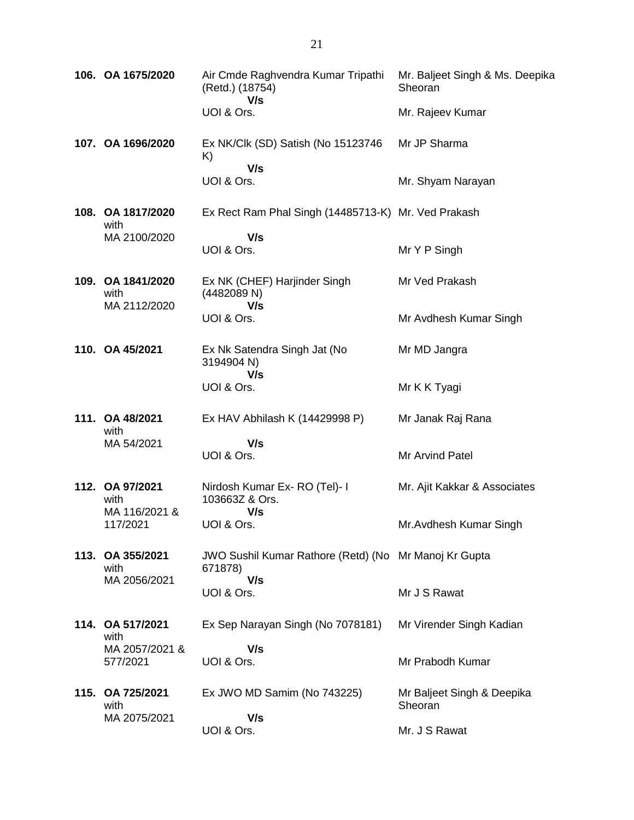| 106. OA 1675/2020                         | Air Cmde Raghvendra Kumar Tripathi<br>(Retd.) (18754)<br>V/s     | Mr. Baljeet Singh & Ms. Deepika<br>Sheoran |
|-------------------------------------------|------------------------------------------------------------------|--------------------------------------------|
|                                           | UOI & Ors.                                                       | Mr. Rajeev Kumar                           |
| 107. OA 1696/2020                         | Ex NK/Clk (SD) Satish (No 15123746<br>K)                         | Mr JP Sharma                               |
|                                           | V/s<br>UOI & Ors.                                                | Mr. Shyam Narayan                          |
| 108. OA 1817/2020<br>with                 | Ex Rect Ram Phal Singh (14485713-K) Mr. Ved Prakash              |                                            |
| MA 2100/2020                              | V/s<br>UOI & Ors.                                                | Mr Y P Singh                               |
| 109. OA 1841/2020<br>with<br>MA 2112/2020 | Ex NK (CHEF) Harjinder Singh<br>(4482089 N)<br>V/s               | Mr Ved Prakash                             |
|                                           | UOI & Ors.                                                       | Mr Avdhesh Kumar Singh                     |
| 110. OA 45/2021                           | Ex Nk Satendra Singh Jat (No<br>3194904 N)<br>V/s                | Mr MD Jangra                               |
|                                           | UOI & Ors.                                                       | Mr K K Tyagi                               |
| 111. OA 48/2021<br>with                   | Ex HAV Abhilash K (14429998 P)                                   | Mr Janak Raj Rana                          |
| MA 54/2021                                | V/s<br>UOI & Ors.                                                | Mr Arvind Patel                            |
| 112. OA 97/2021<br>with<br>MA 116/2021 &  | Nirdosh Kumar Ex- RO (Tel)- I<br>103663Z & Ors.                  | Mr. Ajit Kakkar & Associates               |
| 117/2021                                  | V/s<br>UOI & Ors.                                                | Mr. Avdhesh Kumar Singh                    |
| 113. OA 355/2021<br>with                  | JWO Sushil Kumar Rathore (Retd) (No Mr Manoj Kr Gupta<br>671878) |                                            |
| MA 2056/2021                              | V/s<br>UOI & Ors.                                                | Mr J S Rawat                               |
| 114. OA 517/2021<br>with                  | Ex Sep Narayan Singh (No 7078181)                                | Mr Virender Singh Kadian                   |
| MA 2057/2021 &<br>577/2021                | V/s<br>UOI & Ors.                                                | Mr Prabodh Kumar                           |
| 115. OA 725/2021<br>with<br>MA 2075/2021  | Ex JWO MD Samim (No 743225)<br>V/s                               | Mr Baljeet Singh & Deepika<br>Sheoran      |
|                                           | UOI & Ors.                                                       | Mr. J S Rawat                              |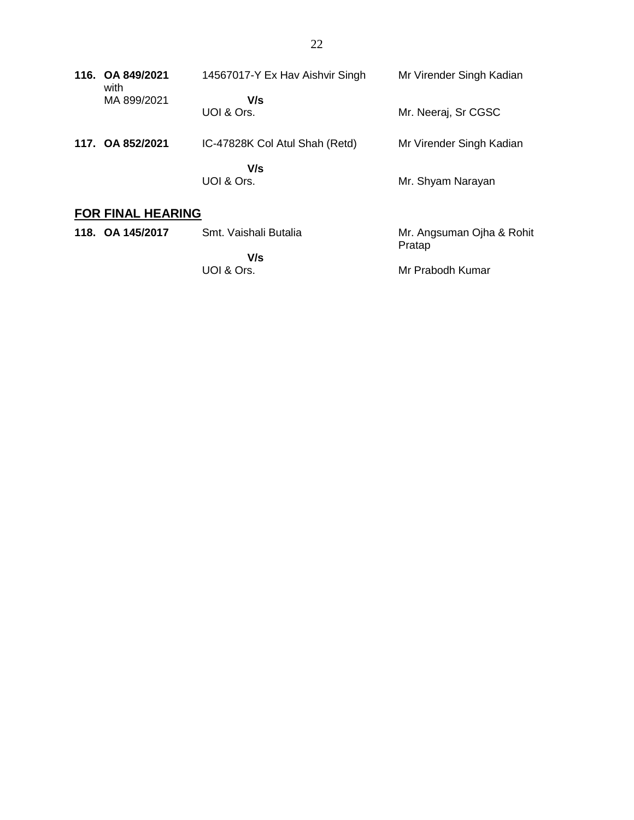| 116. OA 849/2021<br>with | 14567017-Y Ex Hav Aishvir Singh | Mr Virender Singh Kadian            |
|--------------------------|---------------------------------|-------------------------------------|
| MA 899/2021              | V/s<br>UOI & Ors.               | Mr. Neeraj, Sr CGSC                 |
| 117. OA 852/2021         | IC-47828K Col Atul Shah (Retd)  | Mr Virender Singh Kadian            |
|                          | V/s<br>UOI & Ors.               | Mr. Shyam Narayan                   |
| <b>FOR FINAL HEARING</b> |                                 |                                     |
| 118. OA 145/2017         | Smt. Vaishali Butalia           | Mr. Angsuman Ojha & Rohit<br>Pratap |

 **V/s** UOI & Ors.

Mr Prabodh Kumar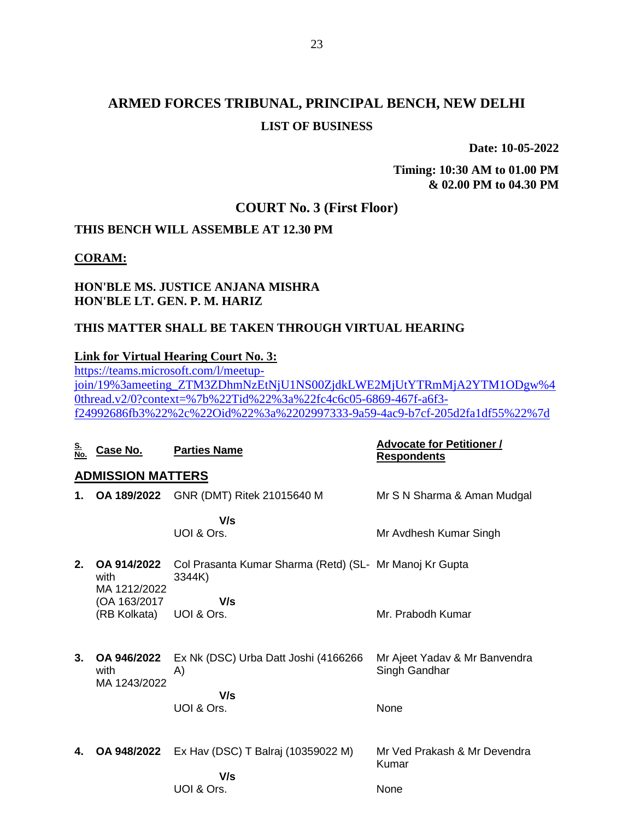**Date: 10-05-2022**

**Timing: 10:30 AM to 01.00 PM & 02.00 PM to 04.30 PM**

### **COURT No. 3 (First Floor)**

## **THIS BENCH WILL ASSEMBLE AT 12.30 PM**

**CORAM:**

### **HON'BLE MS. JUSTICE ANJANA MISHRA HON'BLE LT. GEN. P. M. HARIZ**

#### **THIS MATTER SHALL BE TAKEN THROUGH VIRTUAL HEARING**

#### **Link for Virtual Hearing Court No. 3:**

[https://teams.microsoft.com/l/meetup](https://teams.microsoft.com/l/meetup-join/19%3ameeting_ZTM3ZDhmNzEtNjU1NS00ZjdkLWE2MjUtYTRmMjA2YTM1ODgw%40thread.v2/0?context=%7b%22Tid%22%3a%22fc4c6c05-6869-467f-a6f3-f24992686fb3%22%2c%22Oid%22%3a%2202997333-9a59-4ac9-b7cf-205d2fa1df55%22%7d)[join/19%3ameeting\\_ZTM3ZDhmNzEtNjU1NS00ZjdkLWE2MjUtYTRmMjA2YTM1ODgw%4](https://teams.microsoft.com/l/meetup-join/19%3ameeting_ZTM3ZDhmNzEtNjU1NS00ZjdkLWE2MjUtYTRmMjA2YTM1ODgw%40thread.v2/0?context=%7b%22Tid%22%3a%22fc4c6c05-6869-467f-a6f3-f24992686fb3%22%2c%22Oid%22%3a%2202997333-9a59-4ac9-b7cf-205d2fa1df55%22%7d) [0thread.v2/0?context=%7b%22Tid%22%3a%22fc4c6c05-6869-467f-a6f3](https://teams.microsoft.com/l/meetup-join/19%3ameeting_ZTM3ZDhmNzEtNjU1NS00ZjdkLWE2MjUtYTRmMjA2YTM1ODgw%40thread.v2/0?context=%7b%22Tid%22%3a%22fc4c6c05-6869-467f-a6f3-f24992686fb3%22%2c%22Oid%22%3a%2202997333-9a59-4ac9-b7cf-205d2fa1df55%22%7d) [f24992686fb3%22%2c%22Oid%22%3a%2202997333-9a59-4ac9-b7cf-205d2fa1df55%22%7d](https://teams.microsoft.com/l/meetup-join/19%3ameeting_ZTM3ZDhmNzEtNjU1NS00ZjdkLWE2MjUtYTRmMjA2YTM1ODgw%40thread.v2/0?context=%7b%22Tid%22%3a%22fc4c6c05-6869-467f-a6f3-f24992686fb3%22%2c%22Oid%22%3a%2202997333-9a59-4ac9-b7cf-205d2fa1df55%22%7d)

| <u>S.</u><br>No. | Case No.                            | <b>Parties Name</b>                                               | <b>Advocate for Petitioner /</b><br><b>Respondents</b> |
|------------------|-------------------------------------|-------------------------------------------------------------------|--------------------------------------------------------|
|                  | <b>ADMISSION MATTERS</b>            |                                                                   |                                                        |
| 1.               | OA 189/2022                         | GNR (DMT) Ritek 21015640 M                                        | Mr S N Sharma & Aman Mudgal                            |
|                  |                                     | V/s                                                               |                                                        |
|                  |                                     | UOI & Ors.                                                        | Mr Avdhesh Kumar Singh                                 |
| 2.               | OA 914/2022<br>with<br>MA 1212/2022 | Col Prasanta Kumar Sharma (Retd) (SL- Mr Manoj Kr Gupta<br>3344K) |                                                        |
|                  | (OA 163/2017)<br>(RB Kolkata)       | V/s<br>UOI & Ors.                                                 | Mr. Prabodh Kumar                                      |
| 3.               | OA 946/2022<br>with<br>MA 1243/2022 | Ex Nk (DSC) Urba Datt Joshi (4166266<br>A)                        | Mr Ajeet Yadav & Mr Banvendra<br>Singh Gandhar         |
|                  |                                     | V/s<br>UOI & Ors.                                                 | None                                                   |
| 4.               | OA 948/2022                         | Ex Hav (DSC) T Balraj (10359022 M)<br>V/s                         | Mr Ved Prakash & Mr Devendra<br>Kumar                  |
|                  |                                     | UOI & Ors.                                                        | None                                                   |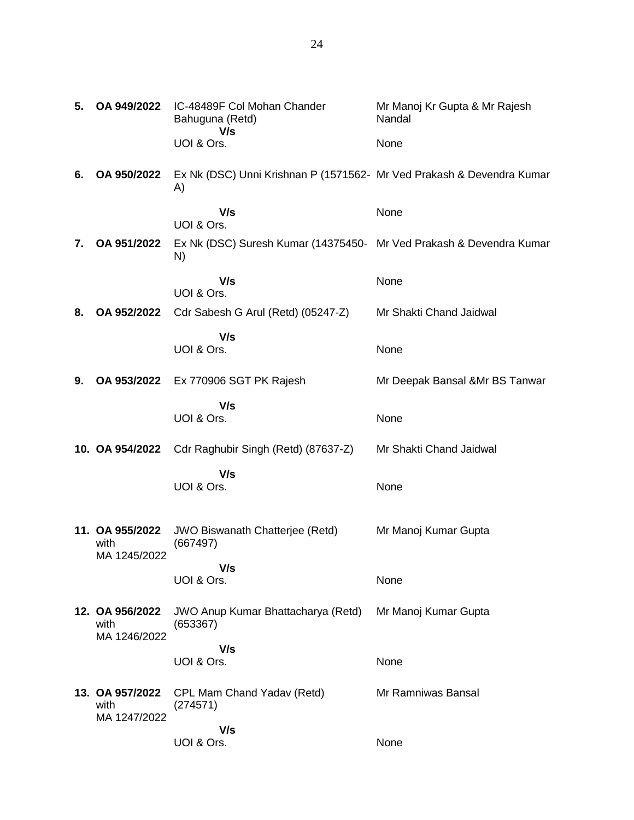| 5. | OA 949/2022                             | IC-48489F Col Mohan Chander<br>Bahuguna (Retd)<br>V/s                       | Mr Manoj Kr Gupta & Mr Rajesh<br>Nandal |
|----|-----------------------------------------|-----------------------------------------------------------------------------|-----------------------------------------|
|    |                                         | UOI & Ors.                                                                  | None                                    |
| 6. | OA 950/2022                             | Ex Nk (DSC) Unni Krishnan P (1571562- Mr Ved Prakash & Devendra Kumar<br>A) |                                         |
|    |                                         | V/s<br>UOI & Ors.                                                           | None                                    |
| 7. | OA 951/2022                             | Ex Nk (DSC) Suresh Kumar (14375450- Mr Ved Prakash & Devendra Kumar<br>N)   |                                         |
|    |                                         | V/s<br>UOI & Ors.                                                           | None                                    |
| 8. | OA 952/2022                             | Cdr Sabesh G Arul (Retd) (05247-Z)                                          | Mr Shakti Chand Jaidwal                 |
|    |                                         | V/s<br>UOI & Ors.                                                           | None                                    |
| 9. | OA 953/2022                             | Ex 770906 SGT PK Rajesh                                                     | Mr Deepak Bansal & Mr BS Tanwar         |
|    |                                         | V/s<br>UOI & Ors.                                                           | None                                    |
|    | 10. OA 954/2022                         | Cdr Raghubir Singh (Retd) (87637-Z)                                         | Mr Shakti Chand Jaidwal                 |
|    |                                         | V/s                                                                         |                                         |
|    |                                         | UOI & Ors.                                                                  | None                                    |
|    | 11. OA 955/2022<br>with<br>MA 1245/2022 | JWO Biswanath Chatterjee (Retd)<br>(667497)                                 | Mr Manoj Kumar Gupta                    |
|    |                                         | V/s<br>UOI & Ors.                                                           | None                                    |
|    | 12. OA 956/2022<br>with<br>MA 1246/2022 | <b>JWO Anup Kumar Bhattacharya (Retd)</b><br>(653367)                       | Mr Manoj Kumar Gupta                    |
|    |                                         | V/s<br>UOI & Ors.                                                           | None                                    |
|    | 13. OA 957/2022<br>with<br>MA 1247/2022 | CPL Mam Chand Yadav (Retd)<br>(274571)                                      | Mr Ramniwas Bansal                      |
|    |                                         | V/s<br>UOI & Ors.                                                           | None                                    |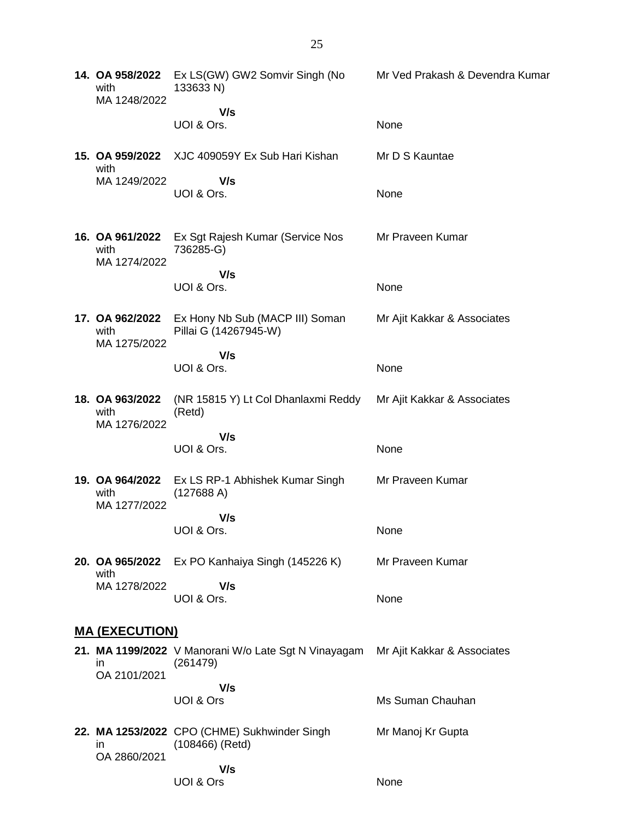| 14. OA 958/2022<br>with<br>MA 1248/2022 | Ex LS(GW) GW2 Somvir Singh (No<br>133633 N)                       | Mr Ved Prakash & Devendra Kumar |
|-----------------------------------------|-------------------------------------------------------------------|---------------------------------|
|                                         | V/s<br>UOI & Ors.                                                 | None                            |
| 15. OA 959/2022<br>with                 | XJC 409059Y Ex Sub Hari Kishan                                    | Mr D S Kauntae                  |
| MA 1249/2022                            | V/s<br>UOI & Ors.                                                 | None                            |
| 16. OA 961/2022<br>with<br>MA 1274/2022 | Ex Sgt Rajesh Kumar (Service Nos<br>736285-G)                     | Mr Praveen Kumar                |
|                                         | V/s<br>UOI & Ors.                                                 | None                            |
| 17. OA 962/2022<br>with<br>MA 1275/2022 | Ex Hony Nb Sub (MACP III) Soman<br>Pillai G (14267945-W)          | Mr Ajit Kakkar & Associates     |
|                                         | V/s<br>UOI & Ors.                                                 | None                            |
| 18. OA 963/2022<br>with<br>MA 1276/2022 | (NR 15815 Y) Lt Col Dhanlaxmi Reddy<br>(Retd)                     | Mr Ajit Kakkar & Associates     |
|                                         | V/s<br>UOI & Ors.                                                 | None                            |
| with<br>MA 1277/2022                    | 19. OA 964/2022 Ex LS RP-1 Abhishek Kumar Singh<br>(127688 A)     | Mr Praveen Kumar                |
|                                         | V/s<br>UOI & Ors.                                                 | None                            |
| 20. OA 965/2022<br>with                 | Ex PO Kanhaiya Singh (145226 K)                                   | Mr Praveen Kumar                |
| MA 1278/2022                            | V/s<br>UOI & Ors.                                                 | None                            |
| <b>MA (EXECUTION)</b>                   |                                                                   |                                 |
| ın<br>OA 2101/2021                      | 21. MA 1199/2022 V Manorani W/o Late Sgt N Vinayagam<br>(261479)  | Mr Ajit Kakkar & Associates     |
|                                         | V/s<br>UOI & Ors                                                  | Ms Suman Chauhan                |
| ın<br>OA 2860/2021                      | 22. MA 1253/2022 CPO (CHME) Sukhwinder Singh<br>$(108466)$ (Retd) | Mr Manoj Kr Gupta               |
|                                         | V/s<br>UOI & Ors                                                  | None                            |